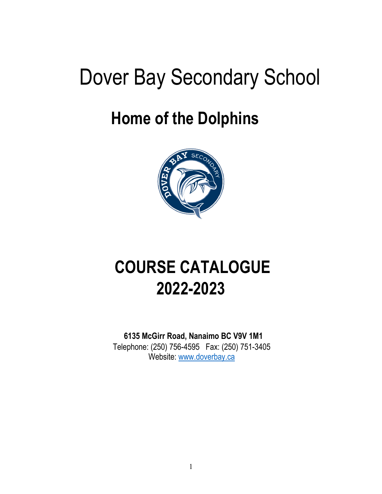# Dover Bay Secondary School

## **Home of the Dolphins**



## **COURSE CATALOGUE 2022-2023**

 **6135 McGirr Road, Nanaimo BC V9V 1M1** 

Telephone: (250) 756-4595 Fax: (250) 751-3405 Website: [www.doverbay.ca](http://www.doverbay.ca/)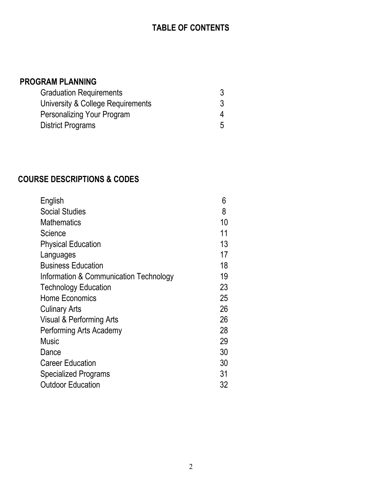## **TABLE OF CONTENTS**

### **PROGRAM PLANNING**

| <b>Graduation Requirements</b>    |  |
|-----------------------------------|--|
| University & College Requirements |  |
| Personalizing Your Program        |  |
| <b>District Programs</b>          |  |

## **COURSE DESCRIPTIONS & CODES**

| English                                | 6  |
|----------------------------------------|----|
| <b>Social Studies</b>                  | 8  |
| <b>Mathematics</b>                     | 10 |
| Science                                | 11 |
| <b>Physical Education</b>              | 13 |
| Languages                              | 17 |
| <b>Business Education</b>              | 18 |
| Information & Communication Technology | 19 |
| <b>Technology Education</b>            | 23 |
| <b>Home Economics</b>                  | 25 |
| <b>Culinary Arts</b>                   | 26 |
| Visual & Performing Arts               | 26 |
| Performing Arts Academy                | 28 |
| Music                                  | 29 |
| Dance                                  | 30 |
| <b>Career Education</b>                | 30 |
| <b>Specialized Programs</b>            | 31 |
| <b>Outdoor Education</b>               | 32 |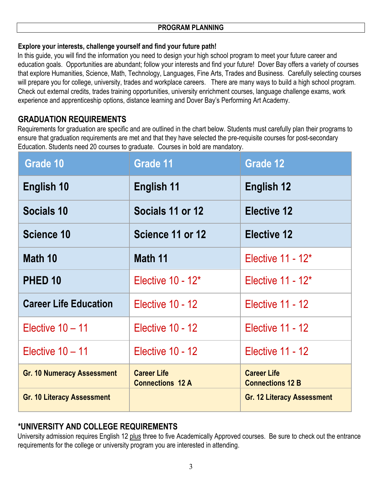#### **PROGRAM PLANNING**

#### **Explore your interests, challenge yourself and find your future path!**

In this quide, you will find the information you need to design your high school program to meet your future career and education goals. Opportunities are abundant; follow your interests and find your future! Dover Bay offers a variety of courses that explore Humanities, Science, Math, Technology, Languages, Fine Arts, Trades and Business. Carefully selecting courses will prepare you for college, university, trades and workplace careers. There are many ways to build a high school program. Check out external credits, trades training opportunities, university enrichment courses, language challenge exams, work experience and apprenticeship options, distance learning and Dover Bay's Performing Art Academy.

## **GRADUATION REQUIREMENTS**

Requirements for graduation are specific and are outlined in the chart below. Students must carefully plan their programs to ensure that graduation requirements are met and that they have selected the pre-requisite courses for post-secondary Education. Students need 20 courses to graduate. Courses in bold are mandatory.

| Grade 10                          | Grade 11                                      | Grade 12                                      |
|-----------------------------------|-----------------------------------------------|-----------------------------------------------|
| English 10                        | English 11                                    | English 12                                    |
| Socials 10                        | Socials 11 or 12                              | <b>Elective 12</b>                            |
| Science 10                        | Science 11 or 12                              | <b>Elective 12</b>                            |
| Math 10                           | Math 11                                       | Elective $11 - 12^*$                          |
| PHED <sub>10</sub>                | Elective 10 - 12*                             | Elective $11 - 12^*$                          |
| <b>Career Life Education</b>      | Elective 10 - 12                              | Elective 11 - 12                              |
| Elective $10 - 11$                | <b>Elective 10 - 12</b>                       | Elective 11 - 12                              |
| Elective $10 - 11$                | Elective 10 - 12                              | Elective 11 - 12                              |
| <b>Gr. 10 Numeracy Assessment</b> | <b>Career Life</b><br><b>Connections 12 A</b> | <b>Career Life</b><br><b>Connections 12 B</b> |
| <b>Gr. 10 Literacy Assessment</b> |                                               | <b>Gr. 12 Literacy Assessment</b>             |

## **\*UNIVERSITY AND COLLEGE REQUIREMENTS**

University admission requires English 12 plus three to five Academically Approved courses. Be sure to check out the entrance requirements for the college or university program you are interested in attending.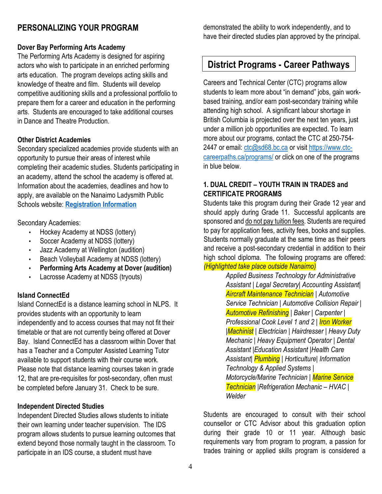## **PERSONALIZING YOUR PROGRAM**

#### **Dover Bay Performing Arts Academy**

The Performing Arts Academy is designed for aspiring actors who wish to participate in an enriched performing arts education. The program develops acting skills and knowledge of theatre and film. Students will develop competitive auditioning skills and a professional portfolio to prepare them for a career and education in the performing arts. Students are encouraged to take additional courses in Dance and Theatre Production.

#### **Other District Academies**

Secondary specialized academies provide students with an opportunity to pursue their areas of interest while completing their academic studies. Students participating in an academy, attend the school the academy is offered at. Information about the academies, deadlines and how to apply, are available on the Nanaimo Ladysmith Public Schools website: **[Registration Information](https://www.sd68.bc.ca/students-parents/registration-information/)**

Secondary Academies:

- Hockey Academy at NDSS (lottery)
- Soccer Academy at NDSS (lottery)
- Jazz Academy at Wellington (audition)
- Beach Volleyball Academy at NDSS (lottery)
- **Performing Arts Academy at Dover (audition)**
- Lacrosse Academy at NDSS (tryouts)

#### **Island ConnectEd**

Island ConnectEd is a distance learning school in NLPS. It provides students with an opportunity to learn independently and to access courses that may not fit their timetable or that are not currently being offered at Dover Bay. Island ConnectEd has a classroom within Dover that has a Teacher and a Computer Assisted Learning Tutor available to support students with their course work. Please note that distance learning courses taken in grade 12, that are pre-requisites for post-secondary, often must be completed before January 31. Check to be sure.

#### **Independent Directed Studies**

Independent Directed Studies allows students to initiate their own learning under teacher supervision. The IDS program allows students to pursue learning outcomes that extend beyond those normally taught in the classroom. To participate in an IDS course, a student must have

demonstrated the ability to work independently, and to have their directed studies plan approved by the principal.

## **District Programs - Career Pathways**

Careers and Technical Center (CTC) programs allow students to learn more about "in demand" jobs, gain workbased training, and/or earn post-secondary training while attending high school. A significant labour shortage in British Columbia is projected over the next ten years, just under a million job opportunities are expected. To learn more about our programs, contact the CTC at 250-754- 2447 or email: [ctc@sd68.bc.ca](mailto:ctc@sd68.bc.ca) or visit [https://www.ctc](https://www.ctc-careerpaths.ca/programs/)[careerpaths.ca/programs/](https://www.ctc-careerpaths.ca/programs/) or click on one of the programs in blue below.

#### **1. DUAL CREDIT – YOUTH TRAIN IN TRADES and CERTIFICATE PROGRAMS**

Students take this program during their Grade 12 year and should apply during Grade 11. Successful applicants are sponsored and do not pay tuition fees. Students are required to pay for application fees, activity fees, books and supplies. Students normally graduate at the same time as their peers and receive a post-secondary credential in addition to their high school diploma. The following programs are offered: *(Highlighted take place outside Nanaimo)*

> *Applied Business Technology for Administrative Assistant | Legal Secretary| Accounting Assistant| Aircraft Maintenance Technician | Automotive Service Technician | Automotive Collision Repair | Automotive Refinishing | Baker | Carpenter | Professional Cook Level 1 and 2 | Iron Worker |Machinist | Electrician | Hairdresser | Heavy Duty Mechanic | Heavy Equipment Operator | Dental Assistant |Education Assistant |Health Care Assistant| Plumbing | Horticulture| Information Technology & Applied Systems | Motorcycle/Marine Technician | Marine Service Technician |Refrigeration Mechanic – HVAC | Welder*

Students are encouraged to consult with their school counsellor or CTC Advisor about this graduation option during their grade 10 or 11 year. Although basic requirements vary from program to program, a passion for trades training or applied skills program is considered a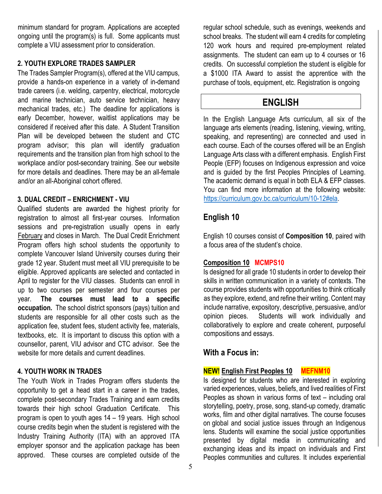minimum standard for program. Applications are accepted ongoing until the program(s) is full. Some applicants must complete a VIU assessment prior to consideration.

#### **2. YOUTH EXPLORE TRADES SAMPLER**

The Trades Sampler Program(s), offered at the VIU campus, provide a hands-on experience in a variety of in-demand trade careers (i.e. welding, carpentry, electrical, motorcycle and marine technician, auto service technician, heavy mechanical trades, etc.) The deadline for applications is early December, however, waitlist applications may be considered if received after this date. A Student Transition Plan will be developed between the student and CTC program advisor; this plan will identify graduation requirements and the transition plan from high school to the workplace and/or post-secondary training. See our website for more details and deadlines. There may be an all-female and/or an all-Aboriginal cohort offered.

#### **3. DUAL CREDIT – ENRICHMENT - VIU**

Qualified students are awarded the highest priority for registration to almost all first-year courses. Information sessions and pre-registration usually opens in early February and closes in March. The Dual Credit Enrichment Program offers high school students the opportunity to complete Vancouver Island University courses during their grade 12 year. Student must meet all VIU prerequisite to be eligible. Approved applicants are selected and contacted in April to register for the VIU classes. Students can enroll in up to two courses per semester and four courses per year. **The courses must lead to a specific occupation.** The school district sponsors (pays) tuition and students are responsible for all other costs such as the application fee, student fees, student activity fee, materials, textbooks, etc. It is important to discuss this option with a counsellor, parent, VIU advisor and CTC advisor. See the website for more details and current deadlines.

#### **4. YOUTH WORK IN TRADES**

The Youth Work in Trades Program offers students the opportunity to get a head start in a career in the trades, complete post-secondary Trades Training and earn credits towards their high school Graduation Certificate. This program is open to youth ages 14 – 19 years. High school course credits begin when the student is registered with the Industry Training Authority (ITA) with an approved ITA employer sponsor and the application package has been approved. These courses are completed outside of the

regular school schedule, such as evenings, weekends and school breaks. The student will earn 4 credits for completing 120 work hours and required pre-employment related assignments. The student can earn up to 4 courses or 16 credits. On successful completion the student is eligible for a \$1000 ITA Award to assist the apprentice with the purchase of tools, equipment, etc. Registration is ongoing

## **ENGLISH**

In the English Language Arts curriculum, all six of the language arts elements (reading, listening, viewing, writing, speaking, and representing) are connected and used in each course. Each of the courses offered will be an English Language Arts class with a different emphasis. English First People (EFP) focuses on Indigenous expression and voice and is guided by the first Peoples Principles of Learning. The academic demand is equal in both ELA & EFP classes. You can find more information at the following website: [https://curriculum.gov.bc.ca/curriculum/10-12#ela.](https://curriculum.gov.bc.ca/curriculum/10-12#ela)

## **English 10**

L

English 10 courses consist of **Composition 10**, paired with a focus area of the student's choice.

### **Composition 10 MCMPS10**

Is designed for all grade 10 students in order to develop their skills in written communication in a variety of contexts. The course provides students with opportunities to think critically as they explore, extend, and refine their writing. Content may include narrative, expository, descriptive, persuasive, and/or opinion pieces. Students will work individually and collaboratively to explore and create coherent, purposeful compositions and essays.

## **With a Focus in:**

**NEW! English First Peoples 10 MEFNM10**

Is designed for students who are interested in exploring varied experiences, values, beliefs, and lived realities of First Peoples as shown in various forms of text – including oral storytelling, poetry, prose, song, stand-up comedy, dramatic works, film and other digital narratives. The course focuses on global and social justice issues through an Indigenous lens. Students will examine the social justice opportunities presented by digital media in communicating and exchanging ideas and its impact on individuals and First Peoples communities and cultures. It includes experiential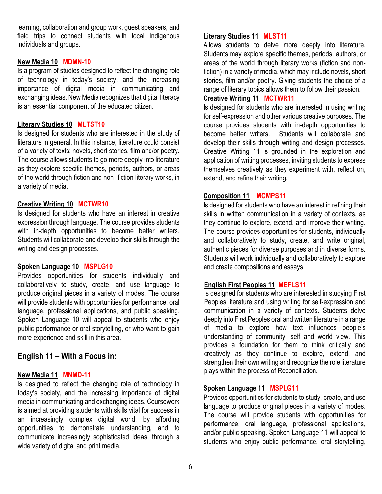learning, collaboration and group work, guest speakers, and field trips to connect students with local Indigenous individuals and groups.

#### **New Media 10 MDMN-10**

Is a program of studies designed to reflect the changing role of technology in today's society, and the increasing importance of digital media in communicating and exchanging ideas. New Media recognizes that digital literacy is an essential component of the educated citizen.

#### **Literary Studies 10 MLTST10**

Is designed for students who are interested in the study of literature in general. In this instance, literature could consist of a variety of texts: novels, short stories, film and/or poetry. The course allows students to go more deeply into literature as they explore specific themes, periods, authors, or areas of the world through fiction and non- fiction literary works, in a variety of media.

#### **Creative Writing 10 MCTWR10**

Is designed for students who have an interest in creative expression through language. The course provides students with in-depth opportunities to become better writers. Students will collaborate and develop their skills through the writing and design processes.

#### **Spoken Language 10 MSPLG10**

Provides opportunities for students individually and collaboratively to study, create, and use language to produce original pieces in a variety of modes. The course will provide students with opportunities for performance, oral language, professional applications, and public speaking. Spoken Language 10 will appeal to students who enjoy public performance or oral storytelling, or who want to gain more experience and skill in this area.

### **English 11 – With a Focus in:**

#### **New Media 11 MNMD-11**

Is designed to reflect the changing role of technology in today's society, and the increasing importance of digital media in communicating and exchanging ideas. Coursework is aimed at providing students with skills vital for success in an increasingly complex digital world, by affording opportunities to demonstrate understanding, and to communicate increasingly sophisticated ideas, through a wide variety of digital and print media.

#### **Literary Studies 11 MLST11**

Allows students to delve more deeply into literature. Students may explore specific themes, periods, authors, or areas of the world through literary works (fiction and nonfiction) in a variety of media, which may include novels, short stories, film and/or poetry. Giving students the choice of a range of literary topics allows them to follow their passion.

#### **Creative Writing 11 MCTWR11**

Is designed for students who are interested in using writing for self-expression and other various creative purposes. The course provides students with in-depth opportunities to become better writers. Students will collaborate and develop their skills through writing and design processes. Creative Writing 11 is grounded in the exploration and application of writing processes, inviting students to express themselves creatively as they experiment with, reflect on, extend, and refine their writing.

#### **Composition 11 MCMPS11**

Is designed for students who have an interest in refining their skills in written communication in a variety of contexts, as they continue to explore, extend, and improve their writing. The course provides opportunities for students, individually and collaboratively to study, create, and write original, authentic pieces for diverse purposes and in diverse forms. Students will work individually and collaboratively to explore and create compositions and essays.

#### **English First Peoples 11 MEFLS11**

Is designed for students who are interested in studying First Peoples literature and using writing for self-expression and communication in a variety of contexts. Students delve deeply into First Peoples oral and written literature in a range of media to explore how text influences people's understanding of community, self and world view. This provides a foundation for them to think critically and creatively as they continue to explore, extend, and strengthen their own writing and recognize the role literature plays within the process of Reconciliation.

#### **Spoken Language 11 MSPLG11**

Provides opportunities for students to study, create, and use language to produce original pieces in a variety of modes. The course will provide students with opportunities for performance, oral language, professional applications, and/or public speaking. Spoken Language 11 will appeal to students who enjoy public performance, oral storytelling,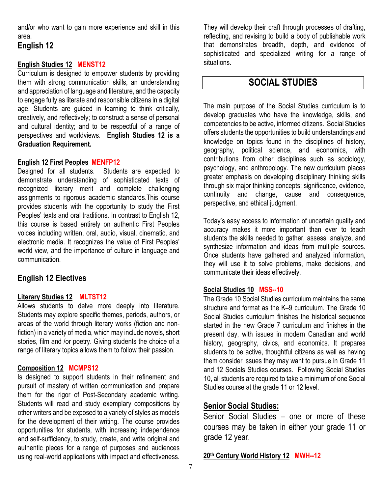and/or who want to gain more experience and skill in this area.

### **English 12**

#### **English Studies 12 MENST12**

Curriculum is designed to empower students by providing them with strong communication skills, an understanding and appreciation of language and literature, and the capacity to engage fully as literate and responsible citizens in a digital age. Students are guided in learning to think critically, creatively, and reflectively; to construct a sense of personal and cultural identity; and to be respectful of a range of perspectives and worldviews. **English Studies 12 is a Graduation Requirement.**

#### **English 12 First Peoples MENFP12**

Designed for all students. Students are expected to demonstrate understanding of sophisticated texts of recognized literary merit and complete challenging assignments to rigorous academic standards.This course provides students with the opportunity to study the First Peoples' texts and oral traditions. In contrast to English 12, this course is based entirely on authentic First Peoples voices including written, oral, audio, visual, cinematic, and electronic media. It recognizes the value of First Peoples' world view, and the importance of culture in language and communication.

### **English 12 Electives**

#### **Literary Studies 12 MLTST12**

Allows students to delve more deeply into literature. Students may explore specific themes, periods, authors, or areas of the world through literary works (fiction and nonfiction) in a variety of media, which may include novels, short stories, film and /or poetry. Giving students the choice of a range of literary topics allows them to follow their passion.

#### **Composition 12 MCMPS12**

Is designed to support students in their refinement and pursuit of mastery of written communication and prepare them for the rigor of Post-Secondary academic writing. Students will read and study exemplary compositions by other writers and be exposed to a variety of styles as models for the development of their writing. The course provides opportunities for students, with increasing independence and self-sufficiency, to study, create, and write original and authentic pieces for a range of purposes and audiences using real-world applications with impact and effectiveness.

They will develop their craft through processes of drafting, reflecting, and revising to build a body of publishable work that demonstrates breadth, depth, and evidence of sophisticated and specialized writing for a range of situations.

## **SOCIAL STUDIES**

The main purpose of the Social Studies curriculum is to develop graduates who have the knowledge, skills, and competencies to be active, informed citizens. Social Studies offers students the opportunities to build understandings and knowledge on topics found in the disciplines of history, geography, political science, and economics, with contributions from other disciplines such as sociology, psychology, and anthropology. The new curriculum places greater emphasis on developing disciplinary thinking skills through six major thinking concepts: significance, evidence, continuity and change, cause and consequence, perspective, and ethical judgment.

Today's easy access to information of uncertain quality and accuracy makes it more important than ever to teach students the skills needed to gather, assess, analyze, and synthesize information and ideas from multiple sources. Once students have gathered and analyzed information, they will use it to solve problems, make decisions, and communicate their ideas effectively.

#### **Social Studies 10 MSS--10**

The Grade 10 Social Studies curriculum maintains the same structure and format as the K–9 curriculum. The Grade 10 Social Studies curriculum finishes the historical sequence started in the new Grade 7 curriculum and finishes in the present day, with issues in modern Canadian and world history, geography, civics, and economics. It prepares students to be active, thoughtful citizens as well as having them consider issues they may want to pursue in Grade 11 and 12 Socials Studies courses. Following Social Studies 10, all students are required to take a minimum of one Social Studies course at the grade 11 or 12 level.

### **Senior Social Studies:**

Senior Social Studies – one or more of these courses may be taken in either your grade 11 or grade 12 year.

**20th Century World History 12 MWH--12**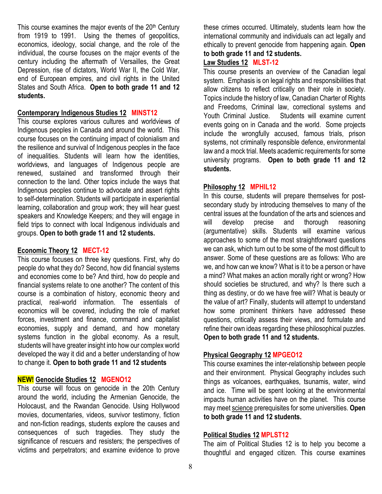This course examines the major events of the  $20<sup>th</sup>$  Century from 1919 to 1991. Using the themes of geopolitics, economics, ideology, social change, and the role of the individual, the course focuses on the major events of the century including the aftermath of Versailles, the Great Depression, rise of dictators, World War II, the Cold War, end of European empires, and civil rights in the United States and South Africa. **Open to both grade 11 and 12 students.**

#### **Contemporary Indigenous Studies 12 MINST12**

This course explores various cultures and worldviews of Indigenous peoples in Canada and around the world. This course focuses on the continuing impact of colonialism and the resilience and survival of Indigenous peoples in the face of inequalities. Students will learn how the identities, worldviews, and languages of Indigenous people are renewed, sustained and transformed through their connection to the land. Other topics include the ways that Indigenous peoples continue to advocate and assert rights to self-determination. Students will participate in experiential learning, collaboration and group work; they will hear guest speakers and Knowledge Keepers; and they will engage in field trips to connect with local Indigenous individuals and groups. **Open to both grade 11 and 12 students.**

#### **Economic Theory 12 MECT-12**

This course focuses on three key questions. First, why do people do what they do? Second, how did financial systems and economies come to be? And third, how do people and financial systems relate to one another? The content of this course is a combination of history, economic theory and practical, real-world information. The essentials of economics will be covered, including the role of market forces, investment and finance, command and capitalist economies, supply and demand, and how monetary systems function in the global economy. As a result, students will have greater insight into how our complex world developed the way it did and a better understanding of how to change it. **Open to both grade 11 and 12 students**

#### **NEW! Genocide Studies 12 MGENO12**

This course will focus on genocide in the 20th Century around the world, including the Armenian Genocide, the Holocaust, and the Rwandan Genocide. Using Hollywood movies, documentaries, videos, survivor testimony, fiction and non-fiction readings, students explore the causes and consequences of such tragedies. They study the significance of rescuers and resisters; the perspectives of victims and perpetrators; and examine evidence to prove

these crimes occurred. Ultimately, students learn how the international community and individuals can act legally and ethically to prevent genocide from happening again. **Open to both grade 11 and 12 students.**

#### **Law Studies 12 MLST-12**

This course presents an overview of the Canadian legal system. Emphasis is on legal rights and responsibilities that allow citizens to reflect critically on their role in society. Topics include the history of law, Canadian Charter of Rights and Freedoms, Criminal law, correctional systems and Youth Criminal Justice. Students will examine current events going on in Canada and the world. Some projects include the wrongfully accused, famous trials, prison systems, not criminally responsible defence, environmental law and a mock trial. Meets academic requirements for some university programs. **Open to both grade 11 and 12 students.**

#### **Philosophy 12 MPHIL12**

In this course, students will prepare themselves for postsecondary study by introducing themselves to many of the central issues at the foundation of the arts and sciences and will develop precise and thorough reasoning (argumentative) skills. Students will examine various approaches to some of the most straightforward questions we can ask, which turn out to be some of the most difficult to answer. Some of these questions are as follows: Who are we, and how can we know? What is it to be a person or have a mind? What makes an action morally right or wrong? How should societies be structured, and why? Is there such a thing as destiny, or do we have free will? What is beauty or the value of art? Finally, students will attempt to understand how some prominent thinkers have addressed these questions, critically assess their views, and formulate and refine their own ideas regarding these philosophical puzzles. **Open to both grade 11 and 12 students.**

#### **Physical Geography 12 MPGEO12**

This course examines the inter-relationship between people and their environment. Physical Geography includes such things as volcanoes, earthquakes, tsunamis, water, wind and ice. Time will be spent looking at the environmental impacts human activities have on the planet. This course may meet science prerequisites for some universities. **Open to both grade 11 and 12 students.**

#### **Political Studies 12 MPLST12**

The aim of Political Studies 12 is to help you become a thoughtful and engaged citizen. This course examines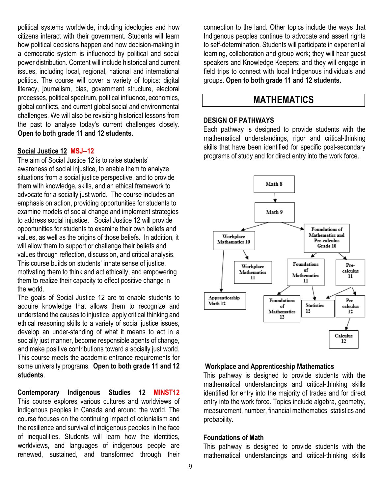political systems worldwide, including ideologies and how citizens interact with their government. Students will learn how political decisions happen and how decision-making in a democratic system is influenced by political and social power distribution. Content will include historical and current issues, including local, regional, national and international politics. The course will cover a variety of topics: digital literacy, journalism, bias, government structure, electoral processes, political spectrum, political influence, economics, global conflicts, and current global social and environmental challenges. We will also be revisiting historical lessons from the past to analyse today's current challenges closely. **Open to both grade 11 and 12 students.**

#### **Social Justice 12 MSJ--12**

The aim of Social Justice 12 is to raise students' awareness of social injustice, to enable them to analyze situations from a social justice perspective, and to provide them with knowledge, skills, and an ethical framework to advocate for a socially just world. The course includes an emphasis on action, providing opportunities for students to examine models of social change and implement strategies to address social injustice. Social Justice 12 will provide opportunities for students to examine their own beliefs and values, as well as the origins of those beliefs. In addition, it will allow them to support or challenge their beliefs and values through reflection, discussion, and critical analysis. This course builds on students' innate sense of justice, motivating them to think and act ethically, and empowering them to realize their capacity to effect positive change in the world.

The goals of Social Justice 12 are to enable students to acquire knowledge that allows them to recognize and understand the causes to injustice, apply critical thinking and ethical reasoning skills to a variety of social justice issues, develop an under-standing of what it means to act in a socially just manner, become responsible agents of change, and make positive contributions toward a socially just world. This course meets the academic entrance requirements for some university programs. **Open to both grade 11 and 12 students**.

**Contemporary Indigenous Studies 12 MINST12** This course explores various cultures and worldviews of indigenous peoples in Canada and around the world. The course focuses on the continuing impact of colonialism and the resilience and survival of indigenous peoples in the face of inequalities. Students will learn how the identities, worldviews, and languages of indigenous people are renewed, sustained, and transformed through their

connection to the land. Other topics include the ways that Indigenous peoples continue to advocate and assert rights to self-determination. Students will participate in experiential learning, collaboration and group work; they will hear guest speakers and Knowledge Keepers; and they will engage in field trips to connect with local Indigenous individuals and groups. **Open to both grade 11 and 12 students.**

## **MATHEMATICS**

#### **DESIGN OF PATHWAYS**

Each pathway is designed to provide students with the mathematical understandings, rigor and critical-thinking skills that have been identified for specific post-secondary programs of study and for direct entry into the work force.



#### **Workplace and Apprenticeship Mathematics**

This pathway is designed to provide students with the mathematical understandings and critical-thinking skills identified for entry into the majority of trades and for direct entry into the work force. Topics include algebra, geometry, measurement, number, financial mathematics, statistics and probability.

#### **Foundations of Math**

This pathway is designed to provide students with the mathematical understandings and critical-thinking skills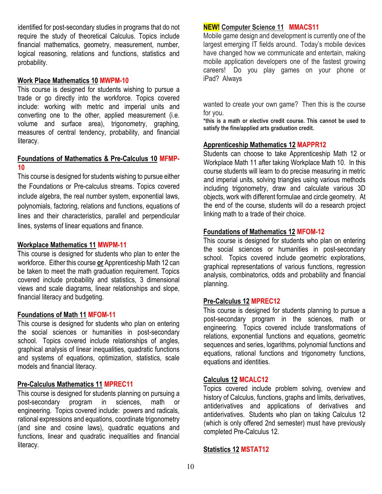identified for post-secondary studies in programs that do not require the study of theoretical Calculus. Topics include financial mathematics, geometry, measurement, number, logical reasoning, relations and functions, statistics and probability.

#### **Work Place Mathematics 10 MWPM-10**

This course is designed for students wishing to pursue a trade or go directly into the workforce. Topics covered include: working with metric and imperial units and converting one to the other, applied measurement (i.e. volume and surface area), trigonometry, graphing, measures of central tendency, probability, and financial literacy.

#### **Foundations of Mathematics & Pre-Calculus 10 MFMP-10**

This course is designed for students wishing to pursue either the Foundations or Pre-calculus streams. Topics covered include algebra, the real number system, exponential laws, polynomials, factoring, relations and functions, equations of lines and their characteristics, parallel and perpendicular lines, systems of linear equations and finance.

#### **Workplace Mathematics 11 MWPM-11**

This course is designed for students who plan to enter the workforce. Either this course **or** Apprenticeship Math 12 can be taken to meet the math graduation requirement. Topics covered include probability and statistics, 3 dimensional views and scale diagrams, linear relationships and slope, financial literacy and budgeting.

#### **Foundations of Math 11 MFOM-11**

This course is designed for students who plan on entering the social sciences or humanities in post-secondary school. Topics covered include relationships of angles, graphical analysis of linear inequalities, quadratic functions and systems of equations, optimization, statistics, scale models and financial literacy.

#### **Pre-Calculus Mathematics 11 MPREC11**

This course is designed for students planning on pursuing a post-secondary program in sciences, math or engineering. Topics covered include: powers and radicals, rational expressions and equations, coordinate trigonometry (and sine and cosine laws), quadratic equations and functions, linear and quadratic inequalities and financial literacy.

#### **NEW! Computer Science 11 MMACS11**

Mobile game design and development is currently one of the largest emerging IT fields around. Today's mobile devices have changed how we communicate and entertain, making mobile application developers one of the fastest growing careers! Do you play games on your phone or iPad? Always

wanted to create your own game? Then this is the course for you.

**\*this is a math or elective credit course. This cannot be used to satisfy the fine/applied arts graduation credit.**

#### **Apprenticeship Mathematics 12 MAPPR12**

Students can choose to take Apprenticeship Math 12 or Workplace Math 11 after taking Workplace Math 10. In this course students will learn to do precise measuring in metric and imperial units, solving triangles using various methods including trigonometry, draw and calculate various 3D objects, work with different formulae and circle geometry. At the end of the course, students will do a research project linking math to a trade of their choice.

#### **Foundations of Mathematics 12 MFOM-12**

This course is designed for students who plan on entering the social sciences or humanities in post-secondary school. Topics covered include geometric explorations, graphical representations of various functions, regression analysis, combinatorics, odds and probability and financial planning.

#### **Pre-Calculus 12 MPREC12**

This course is designed for students planning to pursue a post-secondary program in the sciences, math or engineering. Topics covered include transformations of relations, exponential functions and equations, geometric sequences and series, logarithms, polynomial functions and equations, rational functions and trigonometry functions, equations and identities.

#### **Calculus 12 MCALC12**

Topics covered include problem solving, overview and history of Calculus, functions, graphs and limits, derivatives, antiderivatives and applications of derivatives and antiderivatives. Students who plan on taking Calculus 12 (which is only offered 2nd semester) must have previously completed Pre-Calculus 12.

#### **Statistics 12 MSTAT12**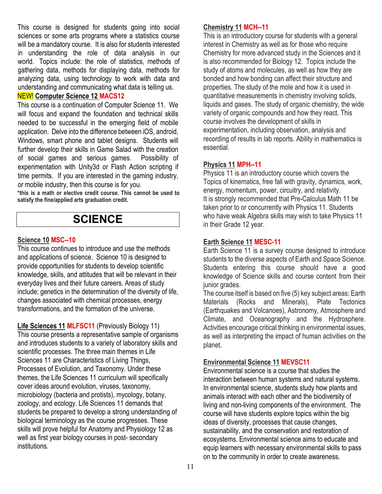This course is designed for students going into social sciences or some arts programs where a statistics course will be a mandatory course. It is also for students interested in understanding the role of data analysis in our world. Topics include: the role of statistics, methods of gathering data, methods for displaying data, methods for analyzing data, using technology to work with data and understanding and communicating what data is telling us.

#### NEW! **Computer Science 12 MACS12**

This course is a continuation of Computer Science 11. We will focus and expand the foundation and technical skills needed to be successful in the emerging field of mobile application. Delve into the difference between iOS, android, Windows, smart phone and tablet designs. Students will further develop their skills in Game Salad with the creation of social games and serious games. Possibility of experimentation with Unity3d or Flash Action scripting if time permits. If you are interested in the gaming industry, or mobile industry, then this course is for you.

**\*this is a math or elective credit course. This cannot be used to satisfy the fine/applied arts graduation credit.**

## **SCIENCE**

#### **Science 10 MSC--10**

This course continues to introduce and use the methods and applications of science. Science 10 is designed to provide opportunities for students to develop scientific knowledge, skills, and attitudes that will be relevant in their everyday lives and their future careers. Areas of study include; genetics in the determination of the diversity of life, changes associated with chemical processes, energy transformations, and the formation of the universe.

**Life Sciences 11 MLFSC11** (Previously Biology 11) This course presents a representative sample of organisms and introduces students to a variety of laboratory skills and scientific processes. The three main themes in Life Sciences 11 are Characteristics of Living Things, Processes of Evolution, and Taxonomy. Under these themes, the Life Sciences 11 curriculum will specifically cover ideas around evolution, viruses, taxonomy, microbiology (bacteria and protists), mycology, botany, zoology, and ecology. Life Sciences 11 demands that students be prepared to develop a strong understanding of biological terminology as the course progresses. These skills will prove helpful for Anatomy and Physiology 12 as well as first year biology courses in post- secondary institutions.

#### **Chemistry 11 MCH--11**

This is an introductory course for students with a general interest in Chemistry as well as for those who require Chemistry for more advanced study in the Sciences and it is also recommended for Biology 12. Topics include the study of atoms and molecules, as well as how they are bonded and how bonding can affect their structure and properties. The study of the mole and how it is used in quantitative measurements in chemistry involving solids, liquids and gases. The study of organic chemistry, the wide variety of organic compounds and how they react. This course involves the development of skills in experimentation, including observation, analysis and recording of results in lab reports. Ability in mathematics is essential.

#### **Physics 11 MPH--11**

Physics 11 is an introductory course which covers the Topics of kinematics, free fall with gravity, dynamics, work, energy, momentum, power, circuitry, and relativity. It is strongly recommended that Pre-Calculus Math 11 be taken prior to or concurrently with Physics 11. Students who have weak Algebra skills may wish to take Physics 11 in their Grade 12 year.

#### **Earth Science 11 MESC-11**

Earth Science 11 is a survey course designed to introduce students to the diverse aspects of Earth and Space Science. Students entering this course should have a good knowledge of Science skills and course content from their junior grades.

The course itself is based on five (5) key subject areas: Earth Materials (Rocks and Minerals), Plate Tectonics (Earthquakes and Volcanoes), Astronomy, Atmosphere and Climate, and Oceanography and the Hydrosphere. Activities encourage critical thinking in environmental issues, as well as interpreting the impact of human activities on the planet.

#### **Environmental Science 11 MEVSC11**

Environmental science is a course that studies the interaction between human systems and natural systems. In environmental science, students study how plants and animals interact with each other and the biodiversity of living and non-living components of the environment. The course will have students explore topics within the big ideas of diversity, processes that cause changes, sustainability, and the conservation and restoration of ecosystems. Environmental science aims to educate and equip learners with necessary environmental skills to pass on to the community in order to create awareness.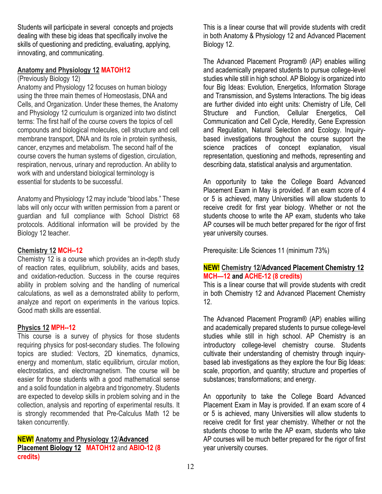Students will participate in several concepts and projects dealing with these big ideas that specifically involve the skills of questioning and predicting, evaluating, applying, innovating, and communicating.

#### **Anatomy and Physiology 12 MATOH12**

#### (Previously Biology 12)

Anatomy and Physiology 12 focuses on human biology using the three main themes of Homeostasis, DNA and Cells, and Organization. Under these themes, the Anatomy and Physiology 12 curriculum is organized into two distinct terms: The first half of the course covers the topics of cell compounds and biological molecules, cell structure and cell membrane transport, DNA and its role in protein synthesis, cancer, enzymes and metabolism. The second half of the course covers the human systems of digestion, circulation, respiration, nervous, urinary and reproduction. An ability to work with and understand biological terminology is essential for students to be successful.

Anatomy and Physiology 12 may include "blood labs." These labs will only occur with written permission from a parent or guardian and full compliance with School District 68 protocols. Additional information will be provided by the Biology 12 teacher.

#### **Chemistry 12 MCH--12**

Chemistry 12 is a course which provides an in-depth study of reaction rates, equilibrium, solubility, acids and bases, and oxidation-reduction. Success in the course requires ability in problem solving and the handling of numerical calculations, as well as a demonstrated ability to perform, analyze and report on experiments in the various topics. Good math skills are essential.

#### **Physics 12 MPH--12**

This course is a survey of physics for those students requiring physics for post-secondary studies. The following topics are studied: Vectors, 2D kinematics, dynamics, energy and momentum, static equilibrium, circular motion, electrostatics, and electromagnetism. The course will be easier for those students with a good mathematical sense and a solid foundation in algebra and trigonometry. Students are expected to develop skills in problem solving and in the collection, analysis and reporting of experimental results. It is strongly recommended that Pre-Calculus Math 12 be taken concurrently.

**NEW! Anatomy and Physiology 12**/**Advanced Placement Biology 12 MATOH12** and **ABIO-12 (8 credits)**

This is a linear course that will provide students with credit in both Anatomy & Physiology 12 and Advanced Placement Biology 12.

The Advanced Placement Program® (AP) enables willing and academically prepared students to pursue college-level studies while still in high school. AP Biology is organized into four Big Ideas: Evolution, Energetics, Information Storage and Transmission, and Systems Interactions. The big ideas are further divided into eight units: Chemistry of Life, Cell Structure and Function, Cellular Energetics, Cell Communication and Cell Cycle, Heredity, Gene Expression and Regulation, Natural Selection and Ecology. Inquirybased investigations throughout the course support the science practices of concept explanation, visual representation, questioning and methods, representing and describing data, statistical analysis and argumentation.

An opportunity to take the College Board Advanced Placement Exam in May is provided. If an exam score of 4 or 5 is achieved, many Universities will allow students to receive credit for first year biology. Whether or not the students choose to write the AP exam, students who take AP courses will be much better prepared for the rigor of first year university courses.

Prerequisite: Life Sciences 11 (minimum 73%)

#### **NEW! Chemistry 12/Advanced Placement Chemistry 12 MCH—12 and ACHE-12 (8 credits)**

This is a linear course that will provide students with credit in both Chemistry 12 and Advanced Placement Chemistry 12.

The Advanced Placement Program® (AP) enables willing and academically prepared students to pursue college-level studies while still in high school. AP Chemistry is an introductory college-level chemistry course. Students cultivate their understanding of chemistry through inquirybased lab investigations as they explore the four Big Ideas: scale, proportion, and quantity; structure and properties of substances; transformations; and energy.

An opportunity to take the College Board Advanced Placement Exam in May is provided. If an exam score of 4 or 5 is achieved, many Universities will allow students to receive credit for first year chemistry. Whether or not the students choose to write the AP exam, students who take AP courses will be much better prepared for the rigor of first year university courses.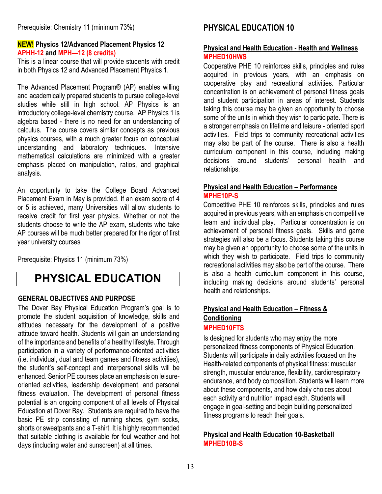#### **NEW! Physics 12/Advanced Placement Physics 12 APHH-12 and MPH—12 (8 credits)**

This is a linear course that will provide students with credit in both Physics 12 and Advanced Placement Physics 1.

The Advanced Placement Program® (AP) enables willing and academically prepared students to pursue college-level studies while still in high school. AP Physics is an introductory college-level chemistry course. AP Physics 1 is algebra based - there is no need for an understanding of calculus. The course covers similar concepts as previous physics courses, with a much greater focus on conceptual understanding and laboratory techniques. Intensive mathematical calculations are minimized with a greater emphasis placed on manipulation, ratios, and graphical analysis.

An opportunity to take the College Board Advanced Placement Exam in May is provided. If an exam score of 4 or 5 is achieved, many Universities will allow students to receive credit for first year physics. Whether or not the students choose to write the AP exam, students who take AP courses will be much better prepared for the rigor of first year university courses

Prerequisite: Physics 11 (minimum 73%)

## **PHYSICAL EDUCATION**

#### **GENERAL OBJECTIVES AND PURPOSE**

The Dover Bay Physical Education Program's goal is to promote the student acquisition of knowledge, skills and attitudes necessary for the development of a positive attitude toward health. Students will gain an understanding of the importance and benefits of a healthy lifestyle. Through participation in a variety of performance-oriented activities (i.e. individual, dual and team games and fitness activities), the student's self-concept and interpersonal skills will be enhanced. Senior PE courses place an emphasis on leisureoriented activities, leadership development, and personal fitness evaluation. The development of personal fitness potential is an ongoing component of all levels of Physical Education at Dover Bay. Students are required to have the basic PE strip consisting of running shoes, gym socks, shorts or sweatpants and a T-shirt. It is highly recommended that suitable clothing is available for foul weather and hot days (including water and sunscreen) at all times.

## **PHYSICAL EDUCATION 10**

#### **Physical and Health Education - Health and Wellness MPHED10HWS**

Cooperative PHE 10 reinforces skills, principles and rules acquired in previous years, with an emphasis on cooperative play and recreational activities. Particular concentration is on achievement of personal fitness goals and student participation in areas of interest. Students taking this course may be given an opportunity to choose some of the units in which they wish to participate. There is a stronger emphasis on lifetime and leisure - oriented sport activities. Field trips to community recreational activities may also be part of the course. There is also a health curriculum component in this course, including making decisions around students' personal health and relationships.

#### **Physical and Health Education – Performance MPHE10P-S**

Competitive PHE 10 reinforces skills, principles and rules acquired in previous years, with an emphasis on competitive team and individual play. Particular concentration is on achievement of personal fitness goals. Skills and game strategies will also be a focus. Students taking this course may be given an opportunity to choose some of the units in which they wish to participate. Field trips to community recreational activities may also be part of the course. There is also a health curriculum component in this course, including making decisions around students' personal health and relationships.

## **Physical and Health Education – Fitness & Conditioning**

#### **MPHED10FTS**

Is designed for students who may enjoy the more personalized fitness components of Physical Education. Students will participate in daily activities focused on the Health-related components of physical fitness: muscular strength, muscular endurance, flexibility, cardiorespiratory endurance, and body composition. Students will learn more about these components, and how daily choices about each activity and nutrition impact each. Students will engage in goal-setting and begin building personalized fitness programs to reach their goals.

#### **Physical and Health Education 10-Basketball MPHED10B-S**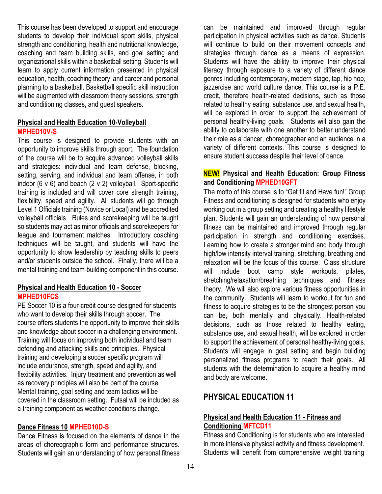This course has been developed to support and encourage students to develop their individual sport skills, physical strength and conditioning, health and nutritional knowledge, coaching and team building skills, and goal setting and organizational skills within a basketball setting. Students will learn to apply current information presented in physical education, health, coaching theory, and career and personal planning to a basketball. Basketball specific skill instruction will be augmented with classroom theory sessions, strength and conditioning classes, and guest speakers.

#### **Physical and Health Education 10-Volleyball MPHED10V-S**

This course is designed to provide students with an opportunity to improve skills through sport. The foundation of the course will be to acquire advanced volleyball skills and strategies: individual and team defense, blocking, setting, serving, and individual and team offense, in both indoor (6 v 6) and beach (2 v 2) volleyball. Sport-specific training is included and will cover core strength training, flexibility, speed and agility. All students will go through Level 1 Officials training (Novice or Local) and be accredited volleyball officials. Rules and scorekeeping will be taught so students may act as minor officials and scorekeepers for league and tournament matches. Introductory coaching techniques will be taught, and students will have the opportunity to show leadership by teaching skills to peers and/or students outside the school. Finally, there will be a mental training and team-building component in this course.

#### **Physical and Health Education 10 - Soccer MPHED10FCS**

PE Soccer 10 is a four-credit course designed for students who want to develop their skills through soccer. The course offers students the opportunity to improve their skills and knowledge about soccer in a challenging environment. Training will focus on improving both individual and team defending and attacking skills and principles. Physical training and developing a soccer specific program will include endurance, strength, speed and agility, and flexibility activities. Injury treatment and prevention as well as recovery principles will also be part of the course. Mental training, goal setting and team tactics will be covered in the classroom setting. Futsal will be included as a training component as weather conditions change.

#### **Dance Fitness 10 MPHED10D-S**

Dance Fitness is focused on the elements of dance in the areas of choreographic form and performance structures. Students will gain an understanding of how personal fitness can be maintained and improved through regular participation in physical activities such as dance. Students will continue to build on their movement concepts and strategies through dance as a means of expression. Students will have the ability to improve their physical literacy through exposure to a variety of different dance genres including contemporary, modern stage, tap, hip hop, jazzercise and world culture dance. This course is a P.E. credit, therefore health-related decisions, such as those related to healthy eating, substance use, and sexual health, will be explored in order to support the achievement of personal healthy-living goals. Students will also gain the ability to collaborate with one another to better understand their role as a dancer, choreographer and an audience in a variety of different contexts. This course is designed to ensure student success despite their level of dance.

#### **NEW! Physical and Health Education: Group Fitness and Conditioning MPHED10GFT**

The motto of this course is to "Get fit and Have fun!" Group Fitness and conditioning is designed for students who enjoy working out in a group setting and creating a healthy lifestyle plan. Students will gain an understanding of how personal fitness can be maintained and improved through regular participation in strength and conditioning exercises. Learning how to create a stronger mind and body through high/low intensity interval training, stretching, breathing and relaxation will be the focus of this course. Class structure will include boot camp style workouts, pilates, stretching/relaxation/breathing techniques and fitness theory. We will also explore various fitness opportunities in the community. Students will learn to workout for fun and fitness to acquire strategies to be the strongest person you can be, both mentally and physically. Health-related decisions, such as those related to healthy eating, substance use, and sexual health, will be explored in order to support the achievement of personal healthy-living goals. Students will engage in goal setting and begin building personalized fitness programs to reach their goals. All students with the determination to acquire a healthy mind and body are welcome.

## **PHYSICAL EDUCATION 11**

#### **Physical and Health Education 11 - Fitness and Conditioning MFTCD11**

Fitness and Conditioning is for students who are interested in more intensive physical activity and fitness development. Students will benefit from comprehensive weight training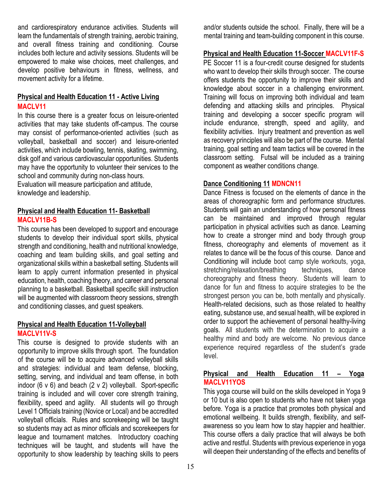and cardiorespiratory endurance activities. Students will learn the fundamentals of strength training, aerobic training, and overall fitness training and conditioning. Course includes both lecture and activity sessions. Students will be empowered to make wise choices, meet challenges, and develop positive behaviours in fitness, wellness, and movement activity for a lifetime.

#### **Physical and Health Education 11 - Active Living MACLV11**

In this course there is a greater focus on leisure-oriented activities that may take students off-campus. The course may consist of performance-oriented activities (such as volleyball, basketball and soccer) and leisure-oriented activities, which include bowling, tennis, skating, swimming, disk golf and various cardiovascular opportunities. Students may have the opportunity to volunteer their services to the school and community during non-class hours.

Evaluation will measure participation and attitude, knowledge and leadership.

#### **Physical and Health Education 11- Basketball MACLV11B-S**

This course has been developed to support and encourage students to develop their individual sport skills, physical strength and conditioning, health and nutritional knowledge, coaching and team building skills, and goal setting and organizational skills within a basketball setting. Students will learn to apply current information presented in physical education, health, coaching theory, and career and personal planning to a basketball. Basketball specific skill instruction will be augmented with classroom theory sessions, strength and conditioning classes, and guest speakers.

#### **Physical and Health Education 11-Volleyball MACLV11V-S**

This course is designed to provide students with an opportunity to improve skills through sport. The foundation of the course will be to acquire advanced volleyball skills and strategies: individual and team defense, blocking, setting, serving, and individual and team offense, in both indoor (6 v 6) and beach (2 v 2) volleyball. Sport-specific training is included and will cover core strength training, flexibility, speed and agility. All students will go through Level 1 Officials training (Novice or Local) and be accredited volleyball officials. Rules and scorekeeping will be taught so students may act as minor officials and scorekeepers for league and tournament matches. Introductory coaching techniques will be taught, and students will have the opportunity to show leadership by teaching skills to peers and/or students outside the school. Finally, there will be a mental training and team-building component in this course.

#### **Physical and Health Education 11-Soccer MACLV11F-S**

PE Soccer 11 is a four-credit course designed for students who want to develop their skills through soccer. The course offers students the opportunity to improve their skills and knowledge about soccer in a challenging environment. Training will focus on improving both individual and team defending and attacking skills and principles. Physical training and developing a soccer specific program will include endurance, strength, speed and agility, and flexibility activities. Injury treatment and prevention as well as recovery principles will also be part of the course. Mental training, goal setting and team tactics will be covered in the classroom setting. Futsal will be included as a training component as weather conditions change.

#### **Dance Conditioning 11 MDNCN11**

Dance Fitness is focused on the elements of dance in the areas of choreographic form and performance structures. Students will gain an understanding of how personal fitness can be maintained and improved through regular participation in physical activities such as dance. Learning how to create a stronger mind and body through group fitness, choreography and elements of movement as it relates to dance will be the focus of this course. Dance and Conditioning will include boot camp style workouts, yoga, stretching/relaxation/breathing techniques, dance choreography and fitness theory. Students will learn to dance for fun and fitness to acquire strategies to be the strongest person you can be, both mentally and physically. Health-related decisions, such as those related to healthy eating, substance use, and sexual health, will be explored in order to support the achievement of personal healthy-living goals. All students with the determination to acquire a healthy mind and body are welcome. No previous dance experience required regardless of the student's grade level.

#### **Physical and Health Education 11 – Yoga MACLV11YOS**

This yoga course will build on the skills developed in Yoga 9 or 10 but is also open to students who have not taken yoga before. Yoga is a practice that promotes both physical and emotional wellbeing. It builds strength, flexibility, and selfawareness so you learn how to stay happier and healthier. This course offers a daily practice that will always be both active and restful. Students with previous experience in yoga will deepen their understanding of the effects and benefits of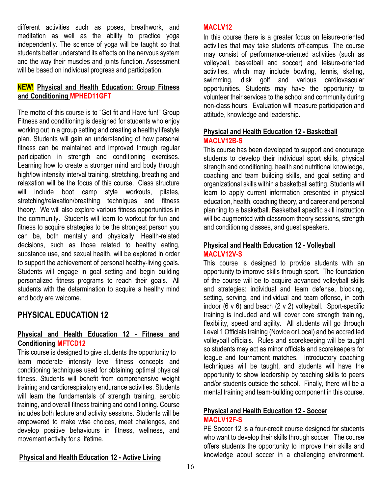different activities such as poses, breathwork, and meditation as well as the ability to practice yoga independently. The science of yoga will be taught so that students better understand its effects on the nervous system and the way their muscles and joints function. Assessment will be based on individual progress and participation.

#### **NEW! Physical and Health Education: Group Fitness and Conditioning MPHED11GFT**

The motto of this course is to "Get fit and Have fun!" Group Fitness and conditioning is designed for students who enjoy working out in a group setting and creating a healthy lifestyle plan. Students will gain an understanding of how personal fitness can be maintained and improved through regular participation in strength and conditioning exercises. Learning how to create a stronger mind and body through high/low intensity interval training, stretching, breathing and relaxation will be the focus of this course. Class structure will include boot camp style workouts, pilates, stretching/relaxation/breathing techniques and fitness theory. We will also explore various fitness opportunities in the community. Students will learn to workout for fun and fitness to acquire strategies to be the strongest person you can be, both mentally and physically. Health-related decisions, such as those related to healthy eating, substance use, and sexual health, will be explored in order to support the achievement of personal healthy-living goals. Students will engage in goal setting and begin building personalized fitness programs to reach their goals. All students with the determination to acquire a healthy mind and body are welcome.

## **PHYSICAL EDUCATION 12**

#### **Physical and Health Education 12 - Fitness and Conditioning MFTCD12**

This course is designed to give students the opportunity to learn moderate intensity level fitness concepts and conditioning techniques used for obtaining optimal physical fitness. Students will benefit from comprehensive weight training and cardiorespiratory endurance activities. Students will learn the fundamentals of strength training, aerobic training, and overall fitness training and conditioning. Course includes both lecture and activity sessions. Students will be empowered to make wise choices, meet challenges, and develop positive behaviours in fitness, wellness, and movement activity for a lifetime.

#### **Physical and Health Education 12 - Active Living**

#### **MACLV12**

In this course there is a greater focus on leisure-oriented activities that may take students off-campus. The course may consist of performance-oriented activities (such as volleyball, basketball and soccer) and leisure-oriented activities, which may include bowling, tennis, skating, swimming, disk golf and various cardiovascular opportunities. Students may have the opportunity to volunteer their services to the school and community during non-class hours. Evaluation will measure participation and attitude, knowledge and leadership.

#### **Physical and Health Education 12 - Basketball MACLV12B-S**

This course has been developed to support and encourage students to develop their individual sport skills, physical strength and conditioning, health and nutritional knowledge, coaching and team building skills, and goal setting and organizational skills within a basketball setting. Students will learn to apply current information presented in physical education, health, coaching theory, and career and personal planning to a basketball. Basketball specific skill instruction will be augmented with classroom theory sessions, strength and conditioning classes, and guest speakers.

#### **Physical and Health Education 12 - Volleyball MACLV12V-S**

This course is designed to provide students with an opportunity to improve skills through sport. The foundation of the course will be to acquire advanced volleyball skills and strategies: individual and team defense, blocking, setting, serving, and individual and team offense, in both indoor (6 v 6) and beach (2 v 2) volleyball. Sport-specific training is included and will cover core strength training, flexibility, speed and agility. All students will go through Level 1 Officials training (Novice or Local) and be accredited volleyball officials. Rules and scorekeeping will be taught so students may act as minor officials and scorekeepers for league and tournament matches. Introductory coaching techniques will be taught, and students will have the opportunity to show leadership by teaching skills to peers and/or students outside the school. Finally, there will be a mental training and team-building component in this course.

#### **Physical and Health Education 12 - Soccer MACLV12F-S**

PE Soccer 12 is a four-credit course designed for students who want to develop their skills through soccer. The course offers students the opportunity to improve their skills and knowledge about soccer in a challenging environment.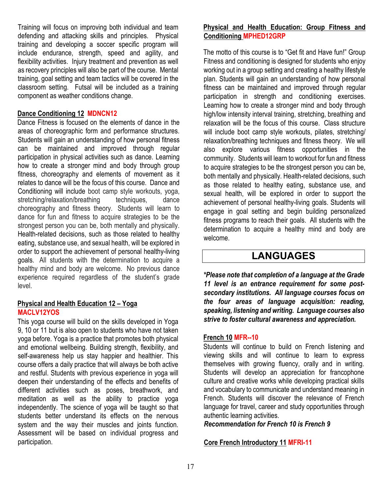Training will focus on improving both individual and team defending and attacking skills and principles. Physical training and developing a soccer specific program will include endurance, strength, speed and agility, and flexibility activities. Injury treatment and prevention as well as recovery principles will also be part of the course. Mental training, goal setting and team tactics will be covered in the classroom setting. Futsal will be included as a training component as weather conditions change.

#### **Dance Conditioning 12 MDNCN12**

Dance Fitness is focused on the elements of dance in the areas of choreographic form and performance structures. Students will gain an understanding of how personal fitness can be maintained and improved through regular participation in physical activities such as dance. Learning how to create a stronger mind and body through group fitness, choreography and elements of movement as it relates to dance will be the focus of this course. Dance and Conditioning will include boot camp style workouts, yoga, stretching/relaxation/breathing techniques, dance choreography and fitness theory. Students will learn to dance for fun and fitness to acquire strategies to be the strongest person you can be, both mentally and physically. Health-related decisions, such as those related to healthy eating, substance use, and sexual health, will be explored in order to support the achievement of personal healthy-living goals. All students with the determination to acquire a healthy mind and body are welcome. No previous dance experience required regardless of the student's grade level.

#### **Physical and Health Education 12 – Yoga MACLV12YOS**

This yoga course will build on the skills developed in Yoga 9, 10 or 11 but is also open to students who have not taken yoga before. Yoga is a practice that promotes both physical and emotional wellbeing. Building strength, flexibility, and self-awareness help us stay happier and healthier. This course offers a daily practice that will always be both active and restful. Students with previous experience in yoga will deepen their understanding of the effects and benefits of different activities such as poses, breathwork, and meditation as well as the ability to practice yoga independently. The science of yoga will be taught so that students better understand its effects on the nervous system and the way their muscles and joints function. Assessment will be based on individual progress and participation.

#### **Physical and Health Education: Group Fitness and Conditioning MPHED12GRP**

The motto of this course is to "Get fit and Have fun!" Group Fitness and conditioning is designed for students who enjoy working out in a group setting and creating a healthy lifestyle plan. Students will gain an understanding of how personal fitness can be maintained and improved through regular participation in strength and conditioning exercises. Learning how to create a stronger mind and body through high/low intensity interval training, stretching, breathing and relaxation will be the focus of this course. Class structure will include boot camp style workouts, pilates, stretching/ relaxation/breathing techniques and fitness theory. We will also explore various fitness opportunities in the community. Students will learn to workout for fun and fitness to acquire strategies to be the strongest person you can be, both mentally and physically. Health-related decisions, such as those related to healthy eating, substance use, and sexual health, will be explored in order to support the achievement of personal healthy-living goals. Students will engage in goal setting and begin building personalized fitness programs to reach their goals. All students with the determination to acquire a healthy mind and body are welcome.

## **LANGUAGES**

*\*Please note that completion of a language at the Grade 11 level is an entrance requirement for some postsecondary institutions. All language courses focus on the four areas of language acquisition: reading, speaking, listening and writing. Language courses also strive to foster cultural awareness and appreciation.* 

#### **French 10 MFR--10**

Students will continue to build on French listening and viewing skills and will continue to learn to express themselves with growing fluency, orally and in writing. Students will develop an appreciation for francophone culture and creative works while developing practical skills and vocabulary to communicate and understand meaning in French. Students will discover the relevance of French language for travel, career and study opportunities through authentic learning activities.

*Recommendation for French 10 is French 9* 

#### **Core French Introductory 11 MFRI-11**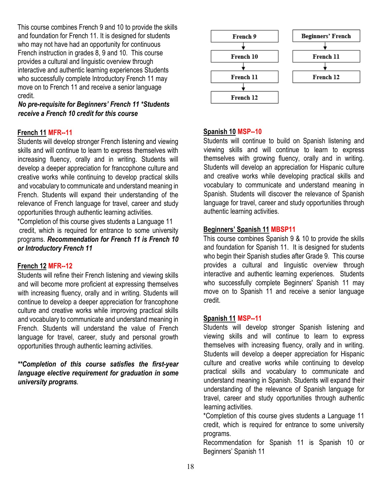This course combines French 9 and 10 to provide the skills and foundation for French 11. It is designed for students who may not have had an opportunity for continuous French instruction in grades 8, 9 and 10. This course provides a cultural and linguistic overview through interactive and authentic learning experiences Students who successfully complete Introductory French 11 may move on to French 11 and receive a senior language credit.

#### *No pre-requisite for Beginners' French 11 \*Students receive a French 10 credit for this course*

#### **French 11 MFR--11**

Students will develop stronger French listening and viewing skills and will continue to learn to express themselves with increasing fluency, orally and in writing. Students will develop a deeper appreciation for francophone culture and creative works while continuing to develop practical skills and vocabulary to communicate and understand meaning in French. Students will expand their understanding of the relevance of French language for travel, career and study opportunities through authentic learning activities.

\*Completion of this course gives students a Language 11 credit, which is required for entrance to some university programs. *Recommendation for French 11 is French 10 or Introductory French 11* 

#### **French 12 MFR--12**

Students will refine their French listening and viewing skills and will become more proficient at expressing themselves with increasing fluency, orally and in writing. Students will continue to develop a deeper appreciation for francophone culture and creative works while improving practical skills and vocabulary to communicate and understand meaning in French. Students will understand the value of French language for travel, career, study and personal growth opportunities through authentic learning activities.

#### *\*\*Completion of this course satisfies the first-year language elective requirement for graduation in some university programs.*



#### **Spanish 10 MSP--10**

Students will continue to build on Spanish listening and viewing skills and will continue to learn to express themselves with growing fluency, orally and in writing. Students will develop an appreciation for Hispanic culture and creative works while developing practical skills and vocabulary to communicate and understand meaning in Spanish. Students will discover the relevance of Spanish language for travel, career and study opportunities through authentic learning activities.

#### **Beginners' Spanish 11 MBSP11**

This course combines Spanish 9 & 10 to provide the skills and foundation for Spanish 11. It is designed for students who begin their Spanish studies after Grade 9. This course provides a cultural and linguistic overview through interactive and authentic learning experiences. Students who successfully complete Beginners' Spanish 11 may move on to Spanish 11 and receive a senior language credit.

#### **Spanish 11 MSP--11**

Students will develop stronger Spanish listening and viewing skills and will continue to learn to express themselves with increasing fluency, orally and in writing. Students will develop a deeper appreciation for Hispanic culture and creative works while continuing to develop practical skills and vocabulary to communicate and understand meaning in Spanish. Students will expand their understanding of the relevance of Spanish language for travel, career and study opportunities through authentic learning activities.

\*Completion of this course gives students a Language 11 credit, which is required for entrance to some university programs.

Recommendation for Spanish 11 is Spanish 10 or Beginners' Spanish 11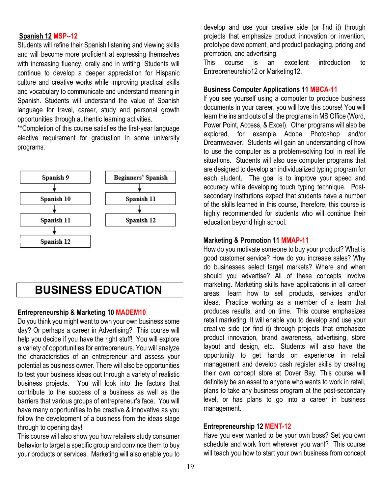#### **Spanish 12 MSP--12**

Students will refine their Spanish listening and viewing skills and will become more proficient at expressing themselves with increasing fluency, orally and in writing. Students will continue to develop a deeper appreciation for Hispanic culture and creative works while improving practical skills and vocabulary to communicate and understand meaning in Spanish. Students will understand the value of Spanish language for travel, career, study and personal growth opportunities through authentic learning activities.

\*\*Completion of this course satisfies the first-year language elective requirement for graduation in some university programs.



## **BUSINESS EDUCATION**

#### **Entrepreneurship & Marketing 10 MADEM10**

Do you think you might want to own your own business some day? Or perhaps a career in Advertising? This course will help you decide if you have the right stuff! You will explore a variety of opportunities for entrepreneurs. You will analyze the characteristics of an entrepreneur and assess your potential as business owner. There will also be opportunities to test your business ideas out through a variety of realistic business projects. You will look into the factors that contribute to the success of a business as well as the barriers that various groups of entrepreneur's face. You will have many opportunities to be creative & innovative as you follow the development of a business from the ideas stage through to opening day!

This course will also show you how retailers study consumer behavior to target a specific group and convince them to buy your products or services. Marketing will also enable you to develop and use your creative side (or find it) through projects that emphasize product innovation or invention, prototype development, and product packaging, pricing and promotion, and advertising.

This course is an excellent introduction to Entrepreneurship12 or Marketing12.

#### **Business Computer Applications 11 MBCA-11**

If you see yourself using a computer to produce business documents in your career, you will love this course! You will learn the ins and outs of all the programs in MS Office (Word, Power Point, Access, & Excel). Other programs will also be explored, for example Adobe Photoshop and/or Dreamweaver. Students will gain an understanding of how to use the computer as a problem-solving tool in real life situations. Students will also use computer programs that are designed to develop an individualized typing program for each student. The goal is to improve your speed and accuracy while developing touch typing technique. Postsecondary institutions expect that students have a number of the skills learned in this course, therefore, this course is highly recommended for students who will continue their education beyond high school.

#### **Marketing & Promotion 11 MMAP-11**

How do you motivate someone to buy your product? What is good customer service? How do you increase sales? Why do businesses select target markets? Where and when should you advertise? All of these concepts involve marketing. Marketing skills have applications in all career areas: learn how to sell products, services and/or ideas. Practice working as a member of a team that produces results, and on time. This course emphasizes retail marketing. It will enable you to develop and use your creative side (or find it) through projects that emphasize product innovation, brand awareness, advertising, store layout and design, etc. Students will also have the opportunity to get hands on experience in retail management and develop cash register skills by creating their own concept store at Dover Bay. This course will definitely be an asset to anyone who wants to work in retail, plans to take any business program at the post-secondary level, or has plans to go into a career in business management.

#### **Entrepreneurship 12 MENT-12**

Have you ever wanted to be your own boss? Set you own schedule and work from wherever you want? This course will teach you how to start your own business from concept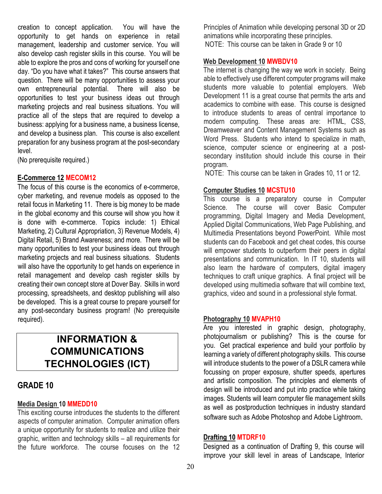creation to concept application. You will have the opportunity to get hands on experience in retail management, leadership and customer service. You will also develop cash register skills in this course. You will be able to explore the pros and cons of working for yourself one day. "Do you have what it takes?" This course answers that question. There will be many opportunities to assess your own entrepreneurial potential. There will also be opportunities to test your business ideas out through marketing projects and real business situations. You will practice all of the steps that are required to develop a business: applying for a business name, a business license, and develop a business plan. This course is also excellent preparation for any business program at the post-secondary level.

(No prerequisite required.)

#### **E-Commerce 12 MECOM12**

The focus of this course is the economics of e-commerce, cyber marketing, and revenue models as opposed to the retail focus in Marketing 11. There is big money to be made in the global economy and this course will show you how it is done with e-commerce. Topics include: 1) Ethical Marketing, 2) Cultural Appropriation, 3) Revenue Models, 4) Digital Retail, 5) Brand Awareness; and more. There will be many opportunities to test your business ideas out through marketing projects and real business situations. Students will also have the opportunity to get hands on experience in retail management and develop cash register skills by creating their own concept store at Dover Bay. Skills in word processing, spreadsheets, and desktop publishing will also be developed. This is a great course to prepare yourself for any post-secondary business program! (No prerequisite required).

## **INFORMATION & COMMUNICATIONS TECHNOLOGIES (ICT)**

### **GRADE 10**

#### **Media Design 10 MMEDD10**

This exciting course introduces the students to the different aspects of computer animation. Computer animation offers a unique opportunity for students to realize and utilize their graphic, written and technology skills – all requirements for the future workforce. The course focuses on the 12

Principles of Animation while developing personal 3D or 2D animations while incorporating these principles. NOTE: This course can be taken in Grade 9 or 10

#### **Web Development 10 MWBDV10**

The internet is changing the way we work in society. Being able to effectively use different computer programs will make students more valuable to potential employers. Web Development 11 is a great course that permits the arts and academics to combine with ease. This course is designed to introduce students to areas of central importance to modern computing. These areas are: HTML, CSS, Dreamweaver and Content Management Systems such as Word Press. Students who intend to specialize in math, science, computer science or engineering at a postsecondary institution should include this course in their program.

NOTE: This course can be taken in Grades 10, 11 or 12.

#### **Computer Studies 10 MCSTU10**

This course is a preparatory course in Computer Science. The course will cover Basic Computer programming, Digital Imagery and Media Development, Applied Digital Communications, Web Page Publishing, and Multimedia Presentations beyond PowerPoint. While most students can do Facebook and get cheat codes, this course will empower students to outperform their peers in digital presentations and communication. In IT 10, students will also learn the hardware of computers, digital imagery techniques to craft unique graphics. A final project will be developed using multimedia software that will combine text, graphics, video and sound in a professional style format.

#### **Photography 10 MVAPH10**

Are you interested in graphic design, photography, photojournalism or publishing? This is the course for you. Get practical experience and build your portfolio by learning a variety of different photography skills. This course will introduce students to the power of a DSLR camera while focussing on proper exposure, shutter speeds, apertures and artistic composition. The principles and elements of design will be introduced and put into practice while taking images. Students will learn computer file management skills as well as postproduction techniques in industry standard software such as Adobe Photoshop and Adobe Lightroom.

#### **Drafting 10 MTDRF10**

Designed as a continuation of Drafting 9, this course will improve your skill level in areas of Landscape, Interior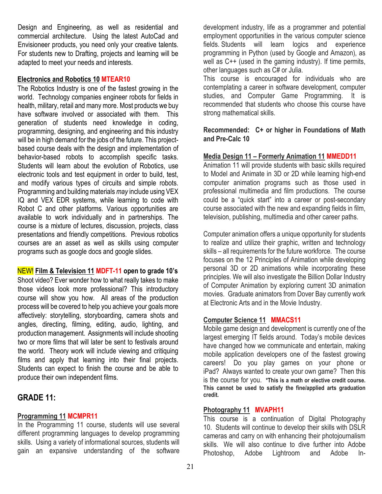Design and Engineering, as well as residential and commercial architecture. Using the latest AutoCad and Envisioneer products, you need only your creative talents. For students new to Drafting, projects and learning will be adapted to meet your needs and interests.

#### **Electronics and Robotics 10 MTEAR10**

The Robotics Industry is one of the fastest growing in the world. Technology companies engineer robots for fields in health, military, retail and many more. Most products we buy have software involved or associated with them. This generation of students need knowledge in coding, programming, designing, and engineering and this industry will be in high demand for the jobs of the future. This projectbased course deals with the design and implementation of behavior-based robots to accomplish specific tasks. Students will learn about the evolution of Robotics, use electronic tools and test equipment in order to build, test, and modify various types of circuits and simple robots. Programming and building materials *may* include using VEX IQ and VEX EDR systems, while learning to code with Robot C and other platforms. Various opportunities are available to work individually and in partnerships. The course is a mixture of lectures, discussion, projects, class presentations and friendly competitions. Previous robotics courses are an asset as well as skills using computer programs such as google docs and google slides.

#### NEW! **Film & Television 11 MDFT-11 open to grade 10's**

Shoot video? Ever wonder how to what really takes to make those videos look more professional? This introductory course will show you how. All areas of the production process will be covered to help you achieve your goals more affectively: storytelling, storyboarding, camera shots and angles, directing, filming, editing, audio, lighting, and production management. Assignments will include shooting two or more films that will later be sent to festivals around the world. Theory work will include viewing and critiquing films and apply that learning into their final projects. Students can expect to finish the course and be able to produce their own independent films.

### **GRADE 11:**

#### **Programming 11 MCMPR11**

In the Programming 11 course, students will use several different programming languages to develop programming skills. Using a variety of informational sources, students will gain an expansive understanding of the software

development industry, life as a programmer and potential employment opportunities in the various computer science fields. Students will learn logics and experience programming in Python (used by Google and Amazon), as well as C++ (used in the gaming industry). If time permits, other languages such as C# or Julia.

This course is encouraged for individuals who are contemplating a career in software development, computer studies, and Computer Game Programming. It is recommended that students who choose this course have strong mathematical skills.

#### **Recommended: C+ or higher in Foundations of Math and Pre-Calc 10**

#### **Media Design 11 – Formerly Animation 11 MMEDD11**

Animation 11 will provide students with basic skills required to Model and Animate in 3D or 2D while learning high-end computer animation programs such as those used in professional multimedia and film productions. The course could be a "quick start" into a career or post-secondary course associated with the new and expanding fields in film, television, publishing, multimedia and other career paths.

Computer animation offers a unique opportunity for students to realize and utilize their graphic, written and technology skills – all requirements for the future workforce. The course focuses on the 12 Principles of Animation while developing personal 3D or 2D animations while incorporating these principles. We will also investigate the Billion Dollar Industry of Computer Animation by exploring current 3D animation movies. Graduate animators from Dover Bay currently work at Electronic Arts and in the Movie Industry.

#### **Computer Science 11 MMACS11**

Mobile game design and development is currently one of the largest emerging IT fields around. Today's mobile devices have changed how we communicate and entertain, making mobile application developers one of the fastest growing careers! Do you play games on your phone or iPad? Always wanted to create your own game? Then this is the course for you. **\*This is a math or elective credit course. This cannot be used to satisfy the fine/applied arts graduation credit.**

#### **Photography 11 MVAPH11**

This course is a continuation of Digital Photography 10. Students will continue to develop their skills with DSLR cameras and carry on with enhancing their photojournalism skills. We will also continue to dive further into Adobe Photoshop, Adobe Lightroom and Adobe In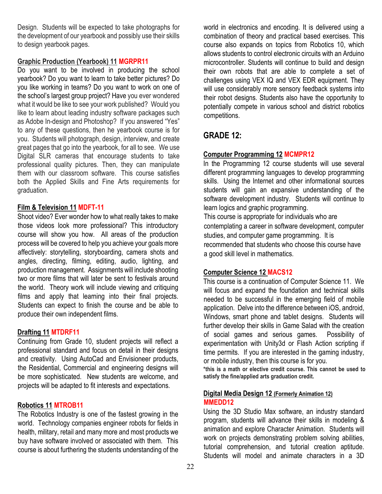Design. Students will be expected to take photographs for the development of our yearbook and possibly use their skills to design yearbook pages.

#### **Graphic Production (Yearbook) 11 MGRPR11**

Do you want to be involved in producing the school yearbook? Do you want to learn to take better pictures? Do you like working in teams? Do you want to work on one of the school's largest group project? Have you ever wondered what it would be like to see your work published? Would you like to learn about leading industry software packages such as Adobe In-design and Photoshop? If you answered "Yes" to any of these questions, then he yearbook course is for you. Students will photograph, design, interview, and create great pages that go into the yearbook, for all to see. We use Digital SLR cameras that encourage students to take professional quality pictures. Then, they can manipulate them with our classroom software. This course satisfies both the Applied Skills and Fine Arts requirements for graduation.

#### **Film & Television 11 MDFT-11**

Shoot video? Ever wonder how to what really takes to make those videos look more professional? This introductory course will show you how. All areas of the production process will be covered to help you achieve your goals more affectively: storytelling, storyboarding, camera shots and angles, directing, filming, editing, audio, lighting, and production management. Assignments will include shooting two or more films that will later be sent to festivals around the world. Theory work will include viewing and critiquing films and apply that learning into their final projects. Students can expect to finish the course and be able to produce their own independent films.

#### **Drafting 11 MTDRF11**

Continuing from Grade 10, student projects will reflect a professional standard and focus on detail in their designs and creativity. Using AutoCad and Envisioneer products, the Residential, Commercial and engineering designs will be more sophisticated. New students are welcome, and projects will be adapted to fit interests and expectations.

#### **Robotics 11 MTROB11**

The Robotics Industry is one of the fastest growing in the world. Technology companies engineer robots for fields in health, military, retail and many more and most products we buy have software involved or associated with them. This course is about furthering the students understanding of the

world in electronics and encoding. It is delivered using a combination of theory and practical based exercises. This course also expands on topics from Robotics 10, which allows students to control electronic circuits with an Arduino microcontroller. Students will continue to build and design their own robots that are able to complete a set of challenges using VEX IQ and VEX EDR equipment. They will use considerably more sensory feedback systems into their robot designs. Students also have the opportunity to potentially compete in various school and district robotics competitions.

## **GRADE 12:**

#### **Computer Programming 12 MCMPR12**

In the Programming 12 course students will use several different programming languages to develop programming skills. Using the Internet and other informational sources students will gain an expansive understanding of the software development industry. Students will continue to learn logics and graphic programming.

This course is appropriate for individuals who are contemplating a career in software development, computer studies, and computer game programming. It is recommended that students who choose this course have

a good skill level in mathematics.

#### **Computer Science 12 MACS12**

This course is a continuation of Computer Science 11. We will focus and expand the foundation and technical skills needed to be successful in the emerging field of mobile application. Delve into the difference between iOS, android, Windows, smart phone and tablet designs. Students will further develop their skills in Game Salad with the creation of social games and serious games. Possibility of experimentation with Unity3d or Flash Action scripting if time permits. If you are interested in the gaming industry, or mobile industry, then this course is for you.

**\*this is a math or elective credit course. This cannot be used to satisfy the fine/applied arts graduation credit.**

#### **Digital Media Design 12 (Formerly Animation 12) MMEDD12**

Using the 3D Studio Max software, an industry standard program, students will advance their skills in modeling & animation and explore Character Animation. Students will work on projects demonstrating problem solving abilities, tutorial comprehension, and tutorial creation aptitude. Students will model and animate characters in a 3D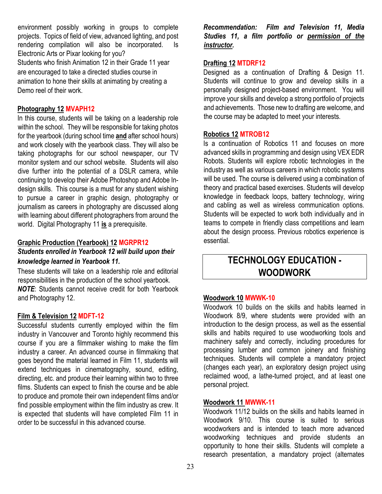environment possibly working in groups to complete projects. Topics of field of view, advanced lighting, and post rendering compilation will also be incorporated. Is Electronic Arts or Pixar looking for you? Students who finish Animation 12 in their Grade 11 year are encouraged to take a directed studies course in animation to hone their skills at animating by creating a Demo reel of their work.

#### **Photography 12 MVAPH12**

In this course, students will be taking on a leadership role within the school. They will be responsible for taking photos for the yearbook (during school time **and** after school hours) and work closely with the yearbook class. They will also be taking photographs for our school newspaper, our TV monitor system and our school website. Students will also dive further into the potential of a DSLR camera, while continuing to develop their Adobe Photoshop and Adobe Indesign skills. This course is a must for any student wishing to pursue a career in graphic design, photography or journalism as careers in photography are discussed along with learning about different photographers from around the world. Digital Photography 11 **is** a prerequisite.

#### **Graphic Production (Yearbook) 12 MGRPR12** *Students enrolled in Yearbook 12 will build upon their knowledge learned in Yearbook 11.*

These students will take on a leadership role and editorial responsibilities in the production of the school yearbook. *NOTE*: Students cannot receive credit for both Yearbook and Photography 12.

#### **Film & Television 12 MDFT-12**

Successful students currently employed within the film industry in Vancouver and Toronto highly recommend this course if you are a filmmaker wishing to make the film industry a career. An advanced course in filmmaking that goes beyond the material learned in Film 11, students will extend techniques in cinematography, sound, editing, directing, etc. and produce their learning within two to three films. Students can expect to finish the course and be able to produce and promote their own independent films and/or find possible employment within the film industry as crew. It is expected that students will have completed Film 11 in order to be successful in this advanced course.

*Recommendation: Film and Television 11, Media Studies 11, a film portfolio or permission of the instructor.* 

#### **Drafting 12 MTDRF12**

Designed as a continuation of Drafting & Design 11. Students will continue to grow and develop skills in a personally designed project-based environment. You will improve your skills and develop a strong portfolio of projects and achievements. Those new to drafting are welcome, and the course may be adapted to meet your interests.

#### **Robotics 12 MTROB12**

Is a continuation of Robotics 11 and focuses on more advanced skills in programming and design using VEX EDR Robots. Students will explore robotic technologies in the industry as well as various careers in which robotic systems will be used. The course is delivered using a combination of theory and practical based exercises. Students will develop knowledge in feedback loops, battery technology, wiring and cabling as well as wireless communication options. Students will be expected to work both individually and in teams to compete in friendly class competitions and learn about the design process. Previous robotics experience is essential.

## **TECHNOLOGY EDUCATION - WOODWORK**

#### **Woodwork 10 MWWK-10**

Woodwork 10 builds on the skills and habits learned in Woodwork 8/9, where students were provided with an introduction to the design process, as well as the essential skills and habits required to use woodworking tools and machinery safely and correctly, including procedures for processing lumber and common joinery and finishing techniques. Students will complete a mandatory project (changes each year), an exploratory design project using reclaimed wood, a lathe-turned project, and at least one personal project.

#### **Woodwork 11 MWWK-11**

Woodwork 11/12 builds on the skills and habits learned in Woodwork 9/10. This course is suited to serious woodworkers and is intended to teach more advanced woodworking techniques and provide students an opportunity to hone their skills. Students will complete a research presentation, a mandatory project (alternates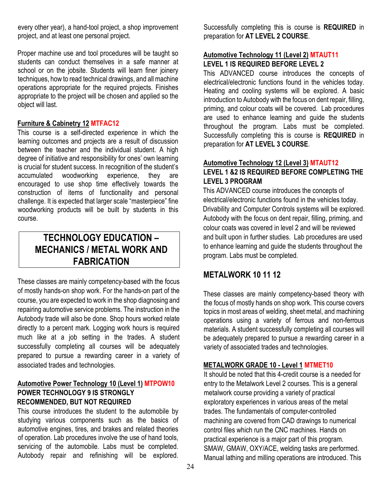every other year), a hand-tool project, a shop improvement project, and at least one personal project.

Proper machine use and tool procedures will be taught so students can conduct themselves in a safe manner at school or on the jobsite. Students will learn finer joinery techniques, how to read technical drawings, and all machine operations appropriate for the required projects. Finishes appropriate to the project will be chosen and applied so the object will last.

#### **Furniture & Cabinetry 12 MTFAC12**

This course is a self-directed experience in which the learning outcomes and projects are a result of discussion between the teacher and the individual student. A high degree of initiative and responsibility for ones' own learning is crucial for student success. In recognition of the student's accumulated woodworking experience, they are encouraged to use shop time effectively towards the construction of items of functionality and personal challenge. It is expected that larger scale "masterpiece" fine woodworking products will be built by students in this course.

## **TECHNOLOGY EDUCATION – MECHANICS / METAL WORK AND FABRICATION**

These classes are mainly competency-based with the focus of mostly hands-on shop work. For the hands-on part of the course, you are expected to work in the shop diagnosing and repairing automotive service problems. The instruction in the Autobody trade will also be done. Shop hours worked relate directly to a percent mark. Logging work hours is required much like at a job setting in the trades. A student successfully completing all courses will be adequately prepared to pursue a rewarding career in a variety of associated trades and technologies.

#### **Automotive Power Technology 10 (Level 1) MTPOW10 POWER TECHNOLOGY 9 IS STRONGLY RECOMMENDED, BUT NOT REQUIRED**

This course introduces the student to the automobile by studying various components such as the basics of automotive engines, tires, and brakes and related theories of operation. Lab procedures involve the use of hand tools, servicing of the automobile. Labs must be completed. Autobody repair and refinishing will be explored.

Successfully completing this is course is **REQUIRED** in preparation for **AT LEVEL 2 COURSE**.

#### **Automotive Technology 11 (Level 2) MTAUT11 LEVEL 1 IS REQUIRED BEFORE LEVEL 2**

This ADVANCED course introduces the concepts of electrical/electronic functions found in the vehicles today. Heating and cooling systems will be explored. A basic introduction to Autobody with the focus on dent repair, filling, priming, and colour coats will be covered. Lab procedures are used to enhance learning and guide the students throughout the program. Labs must be completed. Successfully completing this is course is **REQUIRED** in preparation for **AT LEVEL 3 COURSE**.

#### **Automotive Technology 12 (Level 3) MTAUT12 LEVEL 1 &2 IS REQUIRED BEFORE COMPLETING THE LEVEL 3 PROGRAM**

This ADVANCED course introduces the concepts of electrical/electronic functions found in the vehicles today. Drivability and Computer Controls systems will be explored. Autobody with the focus on dent repair, filling, priming, and colour coats was covered in level 2 and will be reviewed and built upon in further studies. Lab procedures are used to enhance learning and guide the students throughout the program. Labs must be completed.

## **METALWORK 10 11 12**

These classes are mainly competency-based theory with the focus of mostly hands on shop work. This course covers topics in most areas of welding, sheet metal, and machining operations using a variety of ferrous and non-ferrous materials. A student successfully completing all courses will be adequately prepared to pursue a rewarding career in a variety of associated trades and technologies.

#### **METALWORK GRADE 10 - Level 1 MTMET10**

It should be noted that this 4-credit course is a needed for entry to the Metalwork Level 2 courses. This is a general metalwork course providing a variety of practical exploratory experiences in various areas of the metal trades. The fundamentals of computer-controlled machining are covered from CAD drawings to numerical control files which run the CNC machines. Hands on practical experience is a major part of this program. SMAW, GMAW, OXY/ACE, welding tasks are performed. Manual lathing and milling operations are introduced. This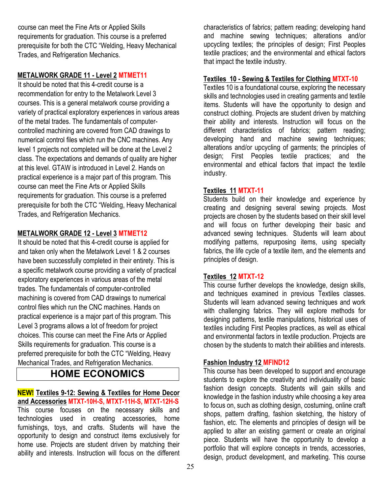course can meet the Fine Arts or Applied Skills requirements for graduation. This course is a preferred prerequisite for both the CTC "Welding, Heavy Mechanical Trades, and Refrigeration Mechanics.

#### **METALWORK GRADE 11 - Level 2 MTMET11**

It should be noted that this 4-credit course is a recommendation for entry to the Metalwork Level 3 courses. This is a general metalwork course providing a variety of practical exploratory experiences in various areas of the metal trades. The fundamentals of computercontrolled machining are covered from CAD drawings to numerical control files which run the CNC machines. Any level 1 projects not completed will be done at the Level 2 class. The expectations and demands of quality are higher at this level. GTAW is introduced in Level 2. Hands on practical experience is a major part of this program. This course can meet the Fine Arts or Applied Skills requirements for graduation. This course is a preferred prerequisite for both the CTC "Welding, Heavy Mechanical Trades, and Refrigeration Mechanics.

#### **METALWORK GRADE 12 - Level 3 MTMET12**

It should be noted that this 4-credit course is applied for and taken only when the Metalwork Level 1 & 2 courses have been successfully completed in their entirety. This is a specific metalwork course providing a variety of practical exploratory experiences in various areas of the metal trades. The fundamentals of computer-controlled machining is covered from CAD drawings to numerical control files which run the CNC machines. Hands on practical experience is a major part of this program. This Level 3 programs allows a lot of freedom for project choices. This course can meet the Fine Arts or Applied Skills requirements for graduation. This course is a preferred prerequisite for both the CTC "Welding, Heavy Mechanical Trades, and Refrigeration Mechanics.

## **HOME ECONOMICS**

## **NEW! Textiles 9-12: Sewing & Textiles for Home Decor**

**and Accessories MTXT-10H-S, MTXT-11H-S, MTXT-12H-S** This course focuses on the necessary skills and technologies used in creating accessories, home furnishings, toys, and crafts. Students will have the opportunity to design and construct items exclusively for home use. Projects are student driven by matching their ability and interests. Instruction will focus on the different

characteristics of fabrics; pattern reading; developing hand and machine sewing techniques; alterations and/or upcycling textiles; the principles of design; First Peoples textile practices; and the environmental and ethical factors that impact the textile industry.

#### **Textiles 10 - Sewing & Textiles for Clothing MTXT-10**

Textiles 10 is a foundational course, exploring the necessary skills and technologies used in creating garments and textile items. Students will have the opportunity to design and construct clothing. Projects are student driven by matching their ability and interests. Instruction will focus on the different characteristics of fabrics; pattern reading; developing hand and machine sewing techniques; alterations and/or upcycling of garments; the principles of design; First Peoples textile practices; and the environmental and ethical factors that impact the textile industry.

#### **Textiles 11 MTXT-11**

Students build on their knowledge and experience by creating and designing several sewing projects. Most projects are chosen by the students based on their skill level and will focus on further developing their basic and advanced sewing techniques. Students will learn about modifying patterns, repurposing items, using specialty fabrics, the life cycle of a textile item, and the elements and principles of design.

#### **Textiles 12 MTXT-12**

This course further develops the knowledge, design skills, and techniques examined in previous Textiles classes. Students will learn advanced sewing techniques and work with challenging fabrics. They will explore methods for designing patterns, textile manipulations, historical uses of textiles including First Peoples practices, as well as ethical and environmental factors in textile production. Projects are chosen by the students to match their abilities and interests.

#### **Fashion Industry 12 MFIND12**

This course has been developed to support and encourage students to explore the creativity and individuality of basic fashion design concepts. Students will gain skills and knowledge in the fashion industry while choosing a key area to focus on, such as clothing design, costuming, online craft shops, pattern drafting, fashion sketching, the history of fashion, etc. The elements and principles of design will be applied to alter an existing garment or create an original piece. Students will have the opportunity to develop a portfolio that will explore concepts in trends, accessories, design, product development, and marketing. This course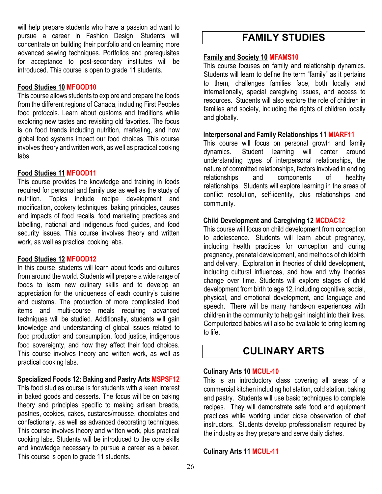will help prepare students who have a passion ad want to pursue a career in Fashion Design. Students will concentrate on building their portfolio and on learning more advanced sewing techniques. Portfolios and prerequisites for acceptance to post-secondary institutes will be introduced. This course is open to grade 11 students.

#### **Food Studies 10 MFOOD10**

This course allows students to explore and prepare the foods from the different regions of Canada, including First Peoples food protocols. Learn about customs and traditions while exploring new tastes and revisiting old favorites. The focus is on food trends including nutrition, marketing, and how global food systems impact our food choices. This course involves theory and written work, as well as practical cooking labs.

#### **Food Studies 11 MFOOD11**

This course provides the knowledge and training in foods required for personal and family use as well as the study of nutrition. Topics include recipe development and modification, cookery techniques, baking principles, causes and impacts of food recalls, food marketing practices and labelling, national and indigenous food guides, and food security issues. This course involves theory and written work, as well as practical cooking labs.

#### **Food Studies 12 MFOOD12**

In this course, students will learn about foods and cultures from around the world. Students will prepare a wide range of foods to learn new culinary skills and to develop an appreciation for the uniqueness of each country's cuisine and customs. The production of more complicated food items and multi-course meals requiring advanced techniques will be studied. Additionally, students will gain knowledge and understanding of global issues related to food production and consumption, food justice, indigenous food sovereignty, and how they affect their food choices. This course involves theory and written work, as well as practical cooking labs.

### **Specialized Foods 12: Baking and Pastry Arts MSPSF12**

This food studies course is for students with a keen interest in baked goods and desserts. The focus will be on baking theory and principles specific to making artisan breads, pastries, cookies, cakes, custards/mousse, chocolates and confectionary, as well as advanced decorating techniques. This course involves theory and written work, plus practical cooking labs. Students will be introduced to the core skills and knowledge necessary to pursue a career as a baker. This course is open to grade 11 students.

## **FAMILY STUDIES**

#### **Family and Society 10 MFAMS10**

This course focuses on family and relationship dynamics. Students will learn to define the term "family" as it pertains to them, challenges families face, both locally and internationally, special caregiving issues, and access to resources. Students will also explore the role of children in families and society, including the rights of children locally and globally.

#### **Interpersonal and Family Relationships 11 MIARF11**

This course will focus on personal growth and family dynamics. Student learning will center around understanding types of interpersonal relationships, the nature of committed relationships, factors involved in ending relationships and components of healthy relationships. Students will explore learning in the areas of conflict resolution, self-identity, plus relationships and community.

#### **Child Development and Caregiving 12 MCDAC12**

This course will focus on child development from conception to adolescence. Students will learn about pregnancy, including health practices for conception and during pregnancy, prenatal development, and methods of childbirth and delivery. Exploration in theories of child development, including cultural influences, and how and why theories change over time. Students will explore stages of child development from birth to age 12, including cognitive, social, physical, and emotional development, and language and speech. There will be many hands-on experiences with children in the community to help gain insight into their lives. Computerized babies will also be available to bring learning to life.

## **CULINARY ARTS**

### **Culinary Arts 10 MCUL-10**

This is an introductory class covering all areas of a commercial kitchen including hot station, cold station, baking and pastry. Students will use basic techniques to complete recipes. They will demonstrate safe food and equipment practices while working under close observation of chef instructors. Students develop professionalism required by the industry as they prepare and serve daily dishes.

#### **Culinary Arts 11 MCUL-11**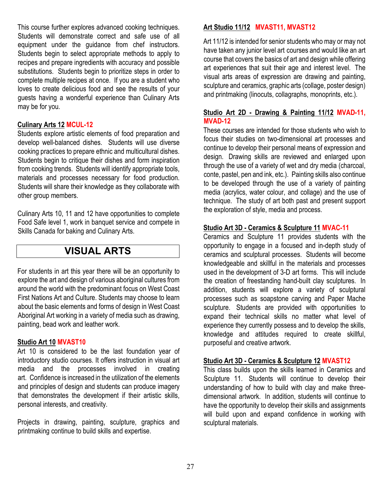This course further explores advanced cooking techniques. Students will demonstrate correct and safe use of all equipment under the guidance from chef instructors. Students begin to select appropriate methods to apply to recipes and prepare ingredients with accuracy and possible substitutions. Students begin to prioritize steps in order to complete multiple recipes at once. If you are a student who loves to create delicious food and see the results of your guests having a wonderful experience than Culinary Arts may be for you.

#### **Culinary Arts 12 MCUL-12**

Students explore artistic elements of food preparation and develop well-balanced dishes. Students will use diverse cooking practices to prepare ethnic and multicultural dishes. Students begin to critique their dishes and form inspiration from cooking trends. Students will identify appropriate tools, materials and processes necessary for food production. Students will share their knowledge as they collaborate with other group members.

Culinary Arts 10, 11 and 12 have opportunities to complete Food Safe level 1, work in banquet service and compete in Skills Canada for baking and Culinary Arts.

## **VISUAL ARTS**

For students in art this year there will be an opportunity to explore the art and design of various aboriginal cultures from around the world with the predominant focus on West Coast First Nations Art and Culture. Students may choose to learn about the basic elements and forms of design in West Coast Aboriginal Art working in a variety of media such as drawing, painting, bead work and leather work.

#### **Studio Art 10 MVAST10**

Art 10 is considered to be the last foundation year of introductory studio courses. It offers instruction in visual art media and the processes involved in creating art. Confidence is increased in the utilization of the elements and principles of design and students can produce imagery that demonstrates the development if their artistic skills, personal interests, and creativity.

Projects in drawing, painting, sculpture, graphics and printmaking continue to build skills and expertise.

#### **Art Studio 11/12 MVAST11, MVAST12**

Art 11/12 is intended for senior students who may or may not have taken any junior level art courses and would like an art course that covers the basics of art and design while offering art experiences that suit their age and interest level. The visual arts areas of expression are drawing and painting, sculpture and ceramics, graphic arts (collage, poster design) and printmaking (linocuts, collagraphs, monoprints, etc.).

#### **Studio Art 2D - Drawing & Painting 11/12 MVAD-11, MVAD-12**

These courses are intended for those students who wish to focus their studies on two-dimensional art processes and continue to develop their personal means of expression and design. Drawing skills are reviewed and enlarged upon through the use of a variety of wet and dry media (charcoal, conte, pastel, pen and ink, etc.). Painting skills also continue to be developed through the use of a variety of painting media (acrylics, water colour, and collage) and the use of technique. The study of art both past and present support the exploration of style, media and process.

#### **Studio Art 3D - Ceramics & Sculpture 11 MVAC-11**

Ceramics and Sculpture 11 provides students with the opportunity to engage in a focused and in-depth study of ceramics and sculptural processes. Students will become knowledgeable and skillful in the materials and processes used in the development of 3-D art forms. This will include the creation of freestanding hand-built clay sculptures. In addition, students will explore a variety of sculptural processes such as soapstone carving and Paper Mache sculpture. Students are provided with opportunities to expand their technical skills no matter what level of experience they currently possess and to develop the skills, knowledge and attitudes required to create skillful, purposeful and creative artwork.

#### **Studio Art 3D - Ceramics & Sculpture 12 MVAST12**

This class builds upon the skills learned in Ceramics and Sculpture 11. Students will continue to develop their understanding of how to build with clay and make threedimensional artwork. In addition, students will continue to have the opportunity to develop their skills and assignments will build upon and expand confidence in working with sculptural materials.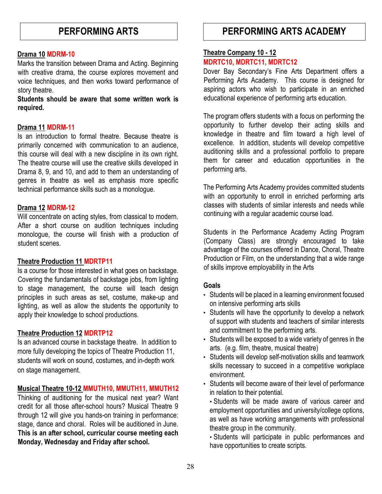#### **Drama 10 MDRM-10**

Marks the transition between Drama and Acting. Beginning with creative drama, the course explores movement and voice techniques, and then works toward performance of story theatre.

**Students should be aware that some written work is required.** 

#### **Drama 11 MDRM-11**

Is an introduction to formal theatre. Because theatre is primarily concerned with communication to an audience, this course will deal with a new discipline in its own right. The theatre course will use the creative skills developed in Drama 8, 9, and 10, and add to them an understanding of genres in theatre as well as emphasis more specific technical performance skills such as a monologue.

#### **Drama 12 MDRM-12**

Will concentrate on acting styles, from classical to modern. After a short course on audition techniques including monologue, the course will finish with a production of student scenes.

#### **Theatre Production 11 MDRTP11**

Is a course for those interested in what goes on backstage. Covering the fundamentals of backstage jobs, from lighting to stage management, the course will teach design principles in such areas as set, costume, make-up and lighting, as well as allow the students the opportunity to apply their knowledge to school productions.

#### **Theatre Production 12 MDRTP12**

Is an advanced course in backstage theatre. In addition to more fully developing the topics of Theatre Production 11, students will work on sound, costumes, and in-depth work on stage management.

#### **Musical Theatre 10-12 MMUTH10, MMUTH11, MMUTH12**

Thinking of auditioning for the musical next year? Want credit for all those after-school hours? Musical Theatre 9 through 12 will give you hands-on training in performance: stage, dance and choral. Roles will be auditioned in June. **This is an after school, curricular course meeting each Monday, Wednesday and Friday after school.**

## **PERFORMING ARTS PERFORMING ARTS ACADEMY**

#### **Theatre Company 10 - 12 MDRTC10, MDRTC11, MDRTC12**

Dover Bay Secondary's Fine Arts Department offers a Performing Arts Academy. This course is designed for aspiring actors who wish to participate in an enriched educational experience of performing arts education.

The program offers students with a focus on performing the opportunity to further develop their acting skills and knowledge in theatre and film toward a high level of excellence. In addition, students will develop competitive auditioning skills and a professional portfolio to prepare them for career and education opportunities in the performing arts.

The Performing Arts Academy provides committed students with an opportunity to enroll in enriched performing arts classes with students of similar interests and needs while continuing with a regular academic course load.

Students in the Performance Academy Acting Program (Company Class) are strongly encouraged to take advantage of the courses offered in Dance, Choral, Theatre Production or Film, on the understanding that a wide range of skills improve employability in the Arts

#### **Goals**

- Students will be placed in a learning environment focused on intensive performing arts skills
- Students will have the opportunity to develop a network of support with students and teachers of similar interests and commitment to the performing arts.
- Students will be exposed to a wide variety of genres in the arts. (e.g. film, theatre, musical theatre)
- Students will develop self-motivation skills and teamwork skills necessary to succeed in a competitive workplace environment.
- Students will become aware of their level of performance in relation to their potential.
	- Students will be made aware of various career and employment opportunities and university/college options, as well as have working arrangements with professional theatre group in the community.

• Students will participate in public performances and have opportunities to create scripts.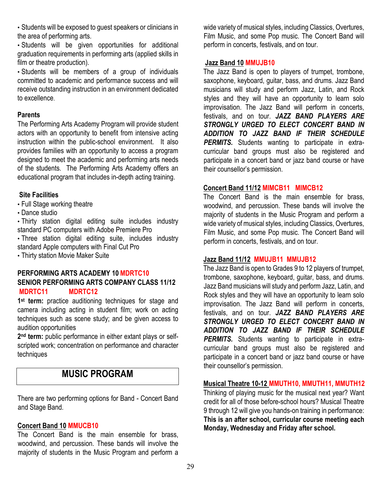• Students will be exposed to guest speakers or clinicians in the area of performing arts.

• Students will be given opportunities for additional graduation requirements in performing arts (applied skills in film or theatre production).

• Students will be members of a group of individuals committed to academic and performance success and will receive outstanding instruction in an environment dedicated to excellence.

#### **Parents**

The Performing Arts Academy Program will provide student actors with an opportunity to benefit from intensive acting instruction within the public-school environment. It also provides families with an opportunity to access a program designed to meet the academic and performing arts needs of the students. The Performing Arts Academy offers an educational program that includes in-depth acting training.

#### **Site Facilities**

• Full Stage working theatre

• Dance studio

• Thirty station digital editing suite includes industry standard PC computers with Adobe Premiere Pro

• Three station digital editing suite, includes industry standard Apple computers with Final Cut Pro

• Thirty station Movie Maker Suite

#### **PERFORMING ARTS ACADEMY 10 MDRTC10 SENIOR PERFORMING ARTS COMPANY CLASS 11/12 MDRTC11 MDRTC12**

**1st term:** practice auditioning techniques for stage and camera including acting in student film; work on acting techniques such as scene study; and be given access to audition opportunities

**2nd term:** public performance in either extant plays or selfscripted work; concentration on performance and character techniques

## **MUSIC PROGRAM**

There are two performing options for Band - Concert Band and Stage Band.

#### **Concert Band 10 MMUCB10**

The Concert Band is the main ensemble for brass, woodwind, and percussion. These bands will involve the majority of students in the Music Program and perform a wide variety of musical styles, including Classics, Overtures, Film Music, and some Pop music. The Concert Band will perform in concerts, festivals, and on tour.

#### **Jazz Band 10 MMUJB10**

The Jazz Band is open to players of trumpet, trombone, saxophone, keyboard, guitar, bass, and drums. Jazz Band musicians will study and perform Jazz, Latin, and Rock styles and they will have an opportunity to learn solo improvisation. The Jazz Band will perform in concerts, festivals, and on tour. *JAZZ BAND PLAYERS ARE STRONGLY URGED TO ELECT CONCERT BAND IN ADDITION TO JAZZ BAND IF THEIR SCHEDULE*  **PERMITS.** Students wanting to participate in extracurricular band groups must also be registered and participate in a concert band or jazz band course or have their counsellor's permission.

#### **Concert Band 11/12 MIMCB11 MIMCB12**

The Concert Band is the main ensemble for brass, woodwind, and percussion. These bands will involve the majority of students in the Music Program and perform a wide variety of musical styles, including Classics, Overtures, Film Music, and some Pop music. The Concert Band will perform in concerts, festivals, and on tour.

#### **Jazz Band 11/12 MMUJB11 MMUJB12**

The Jazz Band is open to Grades 9 to 12 players of trumpet, trombone, saxophone, keyboard, guitar, bass, and drums. Jazz Band musicians will study and perform Jazz, Latin, and Rock styles and they will have an opportunity to learn solo improvisation. The Jazz Band will perform in concerts, festivals, and on tour. *JAZZ BAND PLAYERS ARE STRONGLY URGED TO ELECT CONCERT BAND IN ADDITION TO JAZZ BAND IF THEIR SCHEDULE*  **PERMITS.** Students wanting to participate in extracurricular band groups must also be registered and participate in a concert band or jazz band course or have their counsellor's permission.

#### **Musical Theatre 10-12 MMUTH10, MMUTH11, MMUTH12**

Thinking of playing music for the musical next year? Want credit for all of those before-school hours? Musical Theatre 9 through 12 will give you hands-on training in performance: **This is an after school, curricular course meeting each Monday, Wednesday and Friday after school.**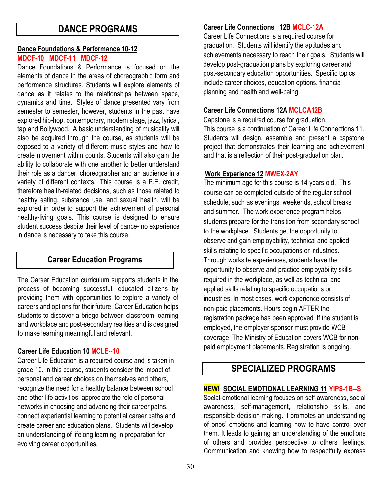## **DANCE PROGRAMS**

#### **Dance Foundations & Performance 10-12**

#### **MDCF-10 MDCF-11 MDCF-12**

Dance Foundations & Performance is focused on the elements of dance in the areas of choreographic form and performance structures. Students will explore elements of dance as it relates to the relationships between space, dynamics and time. Styles of dance presented vary from semester to semester, however, students in the past have explored hip-hop, contemporary, modern stage, jazz, lyrical, tap and Bollywood. A basic understanding of musicality will also be acquired through the course, as students will be exposed to a variety of different music styles and how to create movement within counts. Students will also gain the ability to collaborate with one another to better understand their role as a dancer, choreographer and an audience in a variety of different contexts. This course is a P.E. credit, therefore health-related decisions, such as those related to healthy eating, substance use, and sexual health, will be explored in order to support the achievement of personal healthy-living goals. This course is designed to ensure student success despite their level of dance- no experience in dance is necessary to take this course.

### **Career Education Programs**

The Career Education curriculum supports students in the process of becoming successful, educated citizens by providing them with opportunities to explore a variety of careers and options for their future. Career Education helps students to discover a bridge between classroom learning and workplace and post-secondary realities and is designed to make learning meaningful and relevant.

#### **Career Life Education 10 MCLE--10**

Career Life Education is a required course and is taken in grade 10. In this course, students consider the impact of personal and career choices on themselves and others, recognize the need for a healthy balance between school and other life activities, appreciate the role of personal networks in choosing and advancing their career paths, connect experiential learning to potential career paths and create career and education plans. Students will develop an understanding of lifelong learning in preparation for evolving career opportunities.

#### **Career Life Connections 12B MCLC-12A**

Career Life Connections is a required course for graduation. Students will identify the aptitudes and achievements necessary to reach their goals. Students will develop post-graduation plans by exploring career and post-secondary education opportunities. Specific topics include career choices, education options, financial planning and health and well-being.

#### **Career Life Connections 12A MCLCA12B**

Capstone is a required course for graduation. This course is a continuation of Career Life Connections 11. Students will design, assemble and present a capstone project that demonstrates their learning and achievement and that is a reflection of their post-graduation plan.

#### **Work Experience 12 MWEX-2AY**

The minimum age for this course is 14 years old. This course can be completed outside of the regular school schedule, such as evenings, weekends, school breaks and summer. The work experience program helps students prepare for the transition from secondary school to the workplace. Students get the opportunity to observe and gain employability, technical and applied skills relating to specific occupations or industries. Through worksite experiences, students have the opportunity to observe and practice employability skills required in the workplace, as well as technical and applied skills relating to specific occupations or industries. In most cases, work experience consists of non-paid placements. Hours begin AFTER the registration package has been approved. If the student is employed, the employer sponsor must provide WCB coverage. The Ministry of Education covers WCB for nonpaid employment placements. Registration is ongoing.

## **SPECIALIZED PROGRAMS**

#### **NEW! SOCIAL EMOTIONAL LEARNING 11 YIPS-1B--S**

Social-emotional learning focuses on self-awareness, social awareness, self-management, relationship skills, and responsible decision-making. It promotes an understanding of ones' emotions and learning how to have control over them. It leads to gaining an understanding of the emotions of others and provides perspective to others' feelings. Communication and knowing how to respectfully express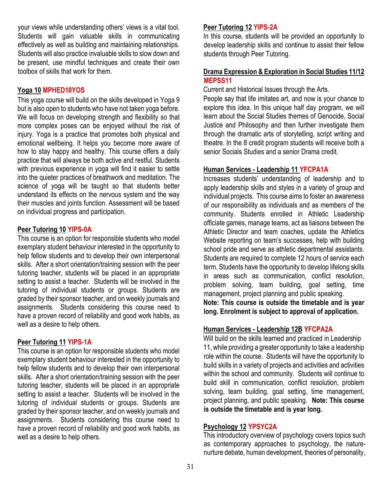your views while understanding others' views is a vital tool. Students will gain valuable skills in communicating effectively as well as building and maintaining relationships. Students will also practice invaluable skills to slow down and be present, use mindful techniques and create their own toolbox of skills that work for them.

#### **Yoga 10 MPHED10YOS**

This yoga course will build on the skills developed in Yoga 9 but is also open to students who have not taken yoga before. We will focus on developing strength and flexibility so that more complex poses can be enjoyed without the risk of injury. Yoga is a practice that promotes both physical and emotional wellbeing. It helps you become more aware of how to stay happy and healthy. This course offers a daily practice that will always be both active and restful. Students with previous experience in yoga will find it easier to settle into the quieter practices of breathwork and meditation. The science of yoga will be taught so that students better understand its effects on the nervous system and the way their muscles and joints function. Assessment will be based on individual progress and participation.

#### **Peer Tutoring 10 YIPS-0A**

This course is an option for responsible students who model exemplary student behaviour interested in the opportunity to help fellow students and to develop their own interpersonal skills. After a short orientation/training session with the peer tutoring teacher, students will be placed in an appropriate setting to assist a teacher. Students will be involved in the tutoring of individual students or groups. Students are graded by their sponsor teacher, and on weekly journals and assignments. Students considering this course need to have a proven record of reliability and good work habits, as well as a desire to help others.

#### **Peer Tutoring 11 YIPS-1A**

This course is an option for responsible students who model exemplary student behaviour interested in the opportunity to help fellow students and to develop their own interpersonal skills. After a short orientation/training session with the peer tutoring teacher, students will be placed in an appropriate setting to assist a teacher. Students will be involved in the tutoring of individual students or groups. Students are graded by their sponsor teacher, and on weekly journals and assignments. Students considering this course need to have a proven record of reliability and good work habits, as well as a desire to help others.

#### **Peer Tutoring 12 YIPS-2A**

In this course, students will be provided an opportunity to develop leadership skills and continue to assist their fellow students through Peer Tutoring.

#### **Drama Expression & Exploration in Social Studies 11/12 MEPSS11**

Current and Historical Issues through the Arts.

People say that life imitates art, and now is your chance to explore this idea. In this unique half day program, we will learn about the Social Studies themes of Genocide, Social Justice and Philosophy and then further investigate them through the dramatic arts of storytelling, script writing and theatre. In the 8 credit program students will receive both a senior Socials Studies and a senior Drama credit.

#### **Human Services - Leadership 11 YFCPA1A**

Increases students' understanding of leadership and to apply leadership skills and styles in a variety of group and individual projects. This course aims to foster an awareness of our responsibility as individuals and as members of the community. Students enrolled in Athletic Leadership officiate games, manage teams, act as liaisons between the Athletic Director and team coaches, update the Athletics Website reporting on team's successes, help with building school pride and serve as athletic departmental assistants. Students are required to complete 12 hours of service each term. Students have the opportunity to develop lifelong skills in areas such as communication, conflict resolution, problem solving, team building, goal setting, time management, project planning and public speaking.

**Note: This course is outside the timetable and is year long. Enrolment is subject to approval of application.** 

#### **Human Services - Leadership 12B YFCPA2A**

Will build on the skills learned and practiced in Leadership 11, while providing a greater opportunity to take a leadership role within the course. Students will have the opportunity to build skills in a variety of projects and activities and activities within the school and community. Students will continue to build skill in communication, conflict resolution, problem solving, team building, goal setting, time management, project planning, and public speaking. **Note: This course is outside the timetable and is year long.** 

#### **Psychology 12 YPSYC2A**

This introductory overview of psychology covers topics such as contemporary approaches to psychology, the naturenurture debate, human development, theories of personality,